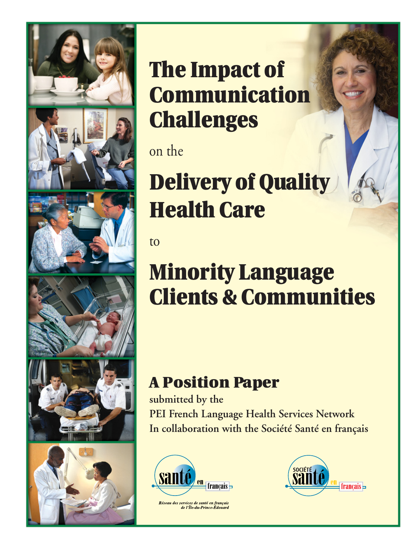

**The Impact of Communication Challenges**

on the

**Delivery of Quality Health Care**

to

# **Minority Language Clients & Communities**

## **A Position Paper**

**submitted by the**

**PEI French Language Health Services Network In collaboration with the Société Santé en français**



Réseau des services de santé en français<br>de l'Île-du-Prince-Édouard

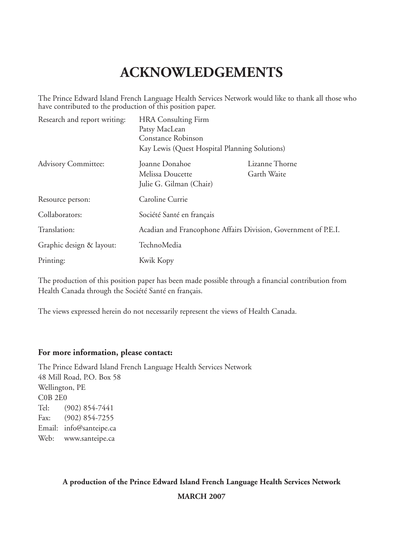## **ACKNOWLEDGEMENTS**

The Prince Edward Island French Language Health Services Network would like to thank all those who have contributed to the production of this position paper.

| Research and report writing: | <b>HRA</b> Consulting Firm<br>Patsy MacLean<br>Constance Robinson<br>Kay Lewis (Quest Hospital Planning Solutions) |                                                                |
|------------------------------|--------------------------------------------------------------------------------------------------------------------|----------------------------------------------------------------|
| <b>Advisory Committee:</b>   | Joanne Donahoe<br>Melissa Doucette<br>Julie G. Gilman (Chair)                                                      | Lizanne Thorne<br>Garth Waite                                  |
| Resource person:             | Caroline Currie                                                                                                    |                                                                |
| Collaborators:               | Société Santé en français                                                                                          |                                                                |
| Translation:                 |                                                                                                                    | Acadian and Francophone Affairs Division, Government of P.E.I. |
| Graphic design & layout:     | TechnoMedia                                                                                                        |                                                                |
| Printing:                    | Kwik Kopy                                                                                                          |                                                                |

The production of this position paper has been made possible through a financial contribution from Health Canada through the Société Santé en français.

The views expressed herein do not necessarily represent the views of Health Canada.

#### **For more information, please contact:**

The Prince Edward Island French Language Health Services Network 48 Mill Road, P.O. Box 58 Wellington, PE C0B 2E0 Tel: (902) 854-7441 Fax: (902) 854-7255 Email: info@santeipe.ca Web: www.santeipe.ca

**A production of the Prince Edward Island French Language Health Services Network**

**MARCH 2007**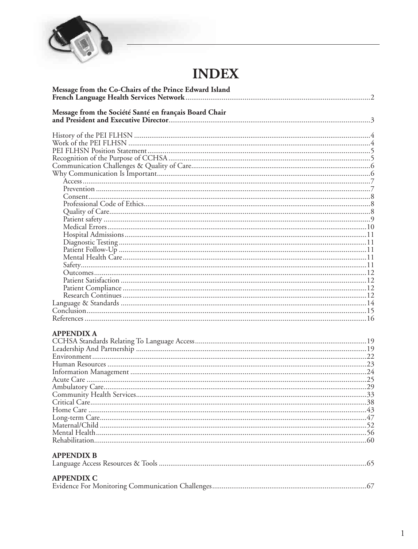

## **INDEX**

| Message from the Co-Chairs of the Prince Edward Island |  |
|--------------------------------------------------------|--|
| Message from the Société Santé en français Board Chair |  |
|                                                        |  |
|                                                        |  |
|                                                        |  |
|                                                        |  |
|                                                        |  |
|                                                        |  |
|                                                        |  |
|                                                        |  |
|                                                        |  |
|                                                        |  |
|                                                        |  |
|                                                        |  |
|                                                        |  |
|                                                        |  |
|                                                        |  |
|                                                        |  |
|                                                        |  |
|                                                        |  |
|                                                        |  |
|                                                        |  |
|                                                        |  |
|                                                        |  |
|                                                        |  |
|                                                        |  |
| <b>APPENDIX A</b>                                      |  |
|                                                        |  |
|                                                        |  |
|                                                        |  |
|                                                        |  |
|                                                        |  |
|                                                        |  |
|                                                        |  |
|                                                        |  |
|                                                        |  |
|                                                        |  |
|                                                        |  |
|                                                        |  |

#### **APPENDIX B**

| <b>APPENDIX C</b> |  |
|-------------------|--|
|                   |  |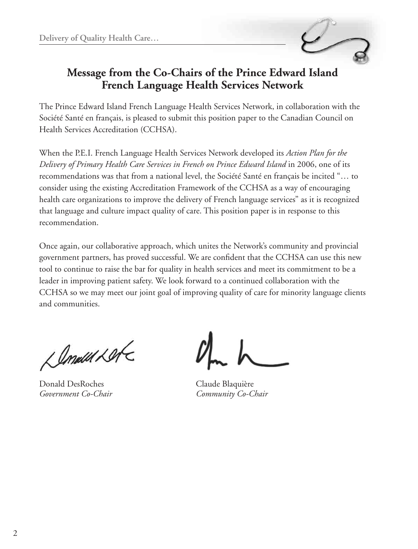

## **Message from the Co-Chairs of the Prince Edward Island French Language Health Services Network**

The Prince Edward Island French Language Health Services Network, in collaboration with the Société Santé en français, is pleased to submit this position paper to the Canadian Council on Health Services Accreditation (CCHSA).

When the P.E.I. French Language Health Services Network developed its *Action Plan for the Delivery of Primary Health Care Services in French on Prince Edward Island* in 2006, one of its recommendations was that from a national level, the Société Santé en français be incited "… to consider using the existing Accreditation Framework of the CCHSA as a way of encouraging health care organizations to improve the delivery of French language services" as it is recognized that language and culture impact quality of care. This position paper is in response to this recommendation.

Once again, our collaborative approach, which unites the Network's community and provincial government partners, has proved successful. We are confident that the CCHSA can use this new tool to continue to raise the bar for quality in health services and meet its commitment to be a leader in improving patient safety. We look forward to a continued collaboration with the CCHSA so we may meet our joint goal of improving quality of care for minority language clients and communities.

L Amall Let

Donald DesRoches Claude Blaquière *Government Co-Chair Community Co-Chair*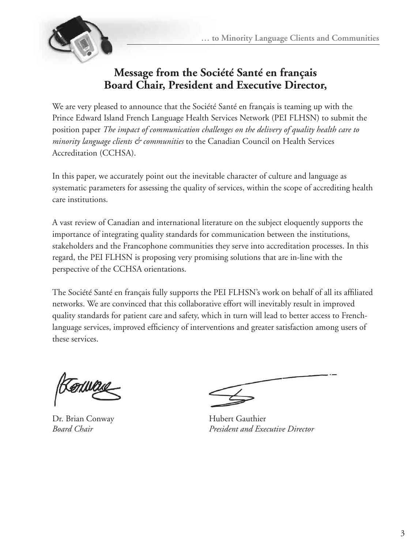

## **Message from the Société Santé en français Board Chair, President and Executive Director,**

We are very pleased to announce that the Société Santé en français is teaming up with the Prince Edward Island French Language Health Services Network (PEI FLHSN) to submit the position paper *The impact of communication challenges on the delivery of quality health care to minority language clients & communities* to the Canadian Council on Health Services Accreditation (CCHSA).

In this paper, we accurately point out the inevitable character of culture and language as systematic parameters for assessing the quality of services, within the scope of accrediting health care institutions.

A vast review of Canadian and international literature on the subject eloquently supports the importance of integrating quality standards for communication between the institutions, stakeholders and the Francophone communities they serve into accreditation processes. In this regard, the PEI FLHSN is proposing very promising solutions that are in-line with the perspective of the CCHSA orientations.

The Société Santé en français fully supports the PEI FLHSN's work on behalf of all its affiliated networks. We are convinced that this collaborative effort will inevitably result in improved quality standards for patient care and safety, which in turn will lead to better access to Frenchlanguage services, improved efficiency of interventions and greater satisfaction among users of these services.

 $\Lambda$ 

Dr. Brian Conway **Hubert Gauthier** 

*Board Chair President and Executive Director*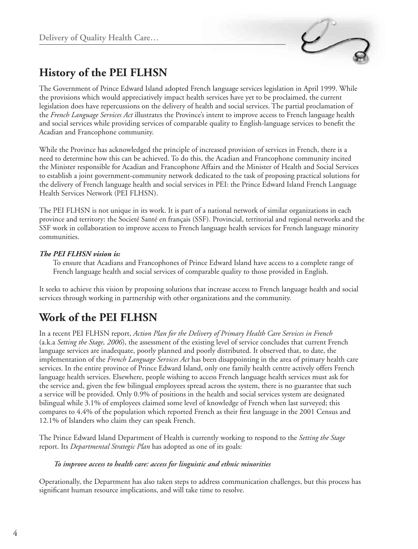

## **History of the PEI FLHSN**

The Government of Prince Edward Island adopted French language services legislation in April 1999. While the provisions which would appreciatively impact health services have yet to be proclaimed, the current legislation does have repercussions on the delivery of health and social services. The partial proclamation of the *French Language Services Act* illustrates the Province's intent to improve access to French language health and social services while providing services of comparable quality to English-language services to benefit the Acadian and Francophone community.

While the Province has acknowledged the principle of increased provision of services in French, there is a need to determine how this can be achieved. To do this, the Acadian and Francophone community incited the Minister responsible for Acadian and Francophone Affairs and the Minister of Health and Social Services to establish a joint government-community network dedicated to the task of proposing practical solutions for the delivery of French language health and social services in PEI: the Prince Edward Island French Language Health Services Network (PEI FLHSN).

The PEI FLHSN is not unique in its work. It is part of a national network of similar organizations in each province and territory: the Societé Santé en français (SSF). Provincial, territorial and regional networks and the SSF work in collaboration to improve access to French language health services for French language minority communities.

#### *The PEI FLHSN vision is:*

To ensure that Acadians and Francophones of Prince Edward Island have access to a complete range of French language health and social services of comparable quality to those provided in English.

It seeks to achieve this vision by proposing solutions that increase access to French language health and social services through working in partnership with other organizations and the community.

## **Work of the PEI FLHSN**

In a recent PEI FLHSN report, *Action Plan for the Delivery of Primary Health Care Services in French*  (a.k.a *Setting the Stage, 2006*), the assessment of the existing level of service concludes that current French language services are inadequate, poorly planned and poorly distributed. It observed that, to date, the implementation of the *French Language Services Act* has been disappointing in the area of primary health care services. In the entire province of Prince Edward Island, only one family health centre actively offers French language health services. Elsewhere, people wishing to access French language health services must ask for the service and, given the few bilingual employees spread across the system, there is no guarantee that such a service will be provided. Only 0.9% of positions in the health and social services system are designated bilingual while 3.1% of employees claimed some level of knowledge of French when last surveyed; this compares to 4.4% of the population which reported French as their first language in the 2001 Census and 12.1% of Islanders who claim they can speak French.

The Prince Edward Island Department of Health is currently working to respond to the *Setting the Stage*  report. Its *Departmental Strategic Plan* has adopted as one of its goals:

#### *To improve access to health care: access for linguistic and ethnic minorities*

Operationally, the Department has also taken steps to address communication challenges, but this process has significant human resource implications, and will take time to resolve.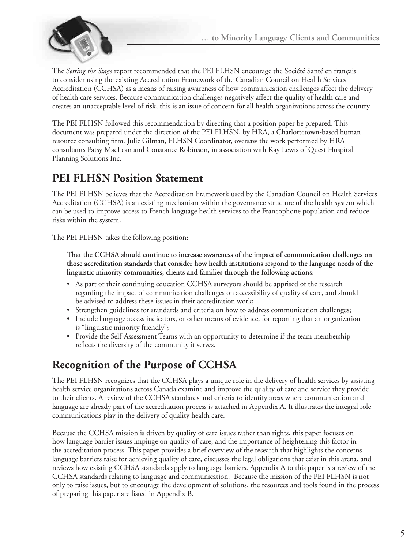

The *Setting the Stage* report recommended that the PEI FLHSN encourage the Société Santé en français to consider using the existing Accreditation Framework of the Canadian Council on Health Services Accreditation (CCHSA) as a means of raising awareness of how communication challenges affect the delivery of health care services. Because communication challenges negatively affect the quality of health care and creates an unacceptable level of risk, this is an issue of concern for all health organizations across the country.

The PEI FLHSN followed this recommendation by directing that a position paper be prepared. This document was prepared under the direction of the PEI FLHSN, by HRA, a Charlottetown-based human resource consulting firm. Julie Gilman, FLHSN Coordinator, oversaw the work performed by HRA consultants Patsy MacLean and Constance Robinson, in association with Kay Lewis of Quest Hospital Planning Solutions Inc.

## **PEI FLHSN Position Statement**

The PEI FLHSN believes that the Accreditation Framework used by the Canadian Council on Health Services Accreditation (CCHSA) is an existing mechanism within the governance structure of the health system which can be used to improve access to French language health services to the Francophone population and reduce risks within the system.

The PEI FLHSN takes the following position:

**That the CCHSA should continue to increase awareness of the impact of communication challenges on those accreditation standards that consider how health institutions respond to the language needs of the linguistic minority communities, clients and families through the following actions:** 

- • As part of their continuing education CCHSA surveyors should be apprised of the research regarding the impact of communication challenges on accessibility of quality of care, and should be advised to address these issues in their accreditation work;
- Strengthen guidelines for standards and criteria on how to address communication challenges;
- Include language access indicators, or other means of evidence, for reporting that an organization is "linguistic minority friendly";
- Provide the Self-Assessment Teams with an opportunity to determine if the team membership reflects the diversity of the community it serves.

## **Recognition of the Purpose of CCHSA**

The PEI FLHSN recognizes that the CCHSA plays a unique role in the delivery of health services by assisting health service organizations across Canada examine and improve the quality of care and service they provide to their clients. A review of the CCHSA standards and criteria to identify areas where communication and language are already part of the accreditation process is attached in Appendix A. It illustrates the integral role communications play in the delivery of quality health care.

Because the CCHSA mission is driven by quality of care issues rather than rights, this paper focuses on how language barrier issues impinge on quality of care, and the importance of heightening this factor in the accreditation process. This paper provides a brief overview of the research that highlights the concerns language barriers raise for achieving quality of care, discusses the legal obligations that exist in this arena, and reviews how existing CCHSA standards apply to language barriers. Appendix A to this paper is a review of the CCHSA standards relating to language and communication. Because the mission of the PEI FLHSN is not only to raise issues, but to encourage the development of solutions, the resources and tools found in the process of preparing this paper are listed in Appendix B.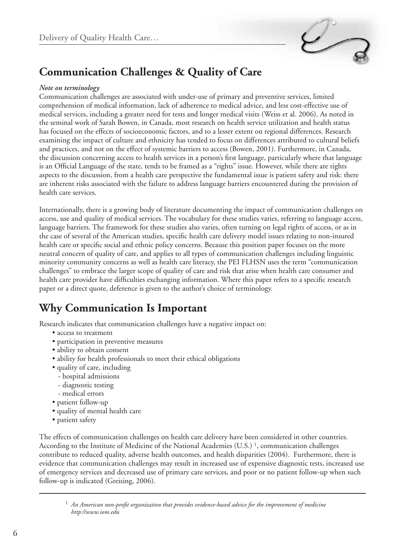

## **Communication Challenges & Quality of Care**

#### *Note on terminology*

Communication challenges are associated with under-use of primary and preventive services, limited comprehension of medical information, lack of adherence to medical advice, and less cost-effective use of medical services, including a greater need for tests and longer medical visits (Weiss et al. 2006). As noted in the seminal work of Sarah Bowen, in Canada, most research on health service utilization and health status has focused on the effects of socioeconomic factors, and to a lesser extent on regional differences. Research examining the impact of culture and ethnicity has tended to focus on differences attributed to cultural beliefs and practices, and not on the effect of systemic barriers to access (Bowen, 2001). Furthermore, in Canada, the discussion concerning access to health services in a person's first language, particularly where that language is an Official Language of the state, tends to be framed as a "rights" issue. However, while there are rights aspects to the discussion, from a health care perspective the fundamental issue is patient safety and risk: there are inherent risks associated with the failure to address language barriers encountered during the provision of health care services.

Internationally, there is a growing body of literature documenting the impact of communication challenges on access, use and quality of medical services. The vocabulary for these studies varies, referring to language access, language barriers. The framework for these studies also varies, often turning on legal rights of access, or as in the case of several of the American studies, specific health care delivery model issues relating to non-insured health care or specific social and ethnic policy concerns. Because this position paper focuses on the more neutral concern of quality of care, and applies to all types of communication challenges including linguistic minority community concerns as well as health care literacy, the PEI FLHSN uses the term "communication challenges" to embrace the larger scope of quality of care and risk that arise when health care consumer and health care provider have difficulties exchanging information. Where this paper refers to a specific research paper or a direct quote, deference is given to the author's choice of terminology.

## **Why Communication Is Important**

Research indicates that communication challenges have a negative impact on:

- access to treatment
- participation in preventive measures
- ability to obtain consent
- ability for health professionals to meet their ethical obligations
- quality of care, including
	- hospital admissions
	- diagnostic testing
- medical errors
- patient follow-up
- quality of mental health care
- patient safety

The effects of communication challenges on health care delivery have been considered in other countries. According to the Institute of Medicine of the National Academies (U.S.)<sup>1</sup>, communication challenges contribute to reduced quality, adverse health outcomes, and health disparities (2004). Furthermore, there is evidence that communication challenges may result in increased use of expensive diagnostic tests, increased use of emergency services and decreased use of primary care services, and poor or no patient follow-up when such follow-up is indicated (Greising, 2006).

<sup>1</sup> *An American non-profit organization that provides evidence-based advice for the improvement of medicine http://www.iom.edu*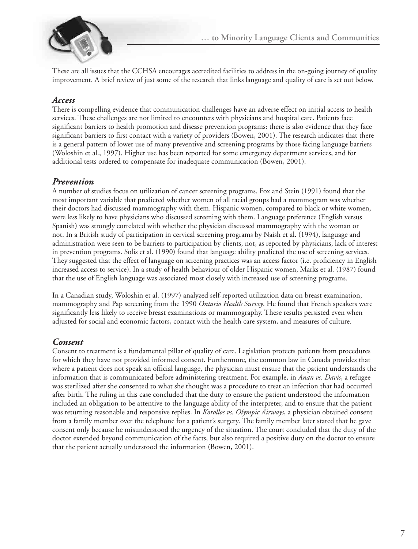

These are all issues that the CCHSA encourages accredited facilities to address in the on-going journey of quality improvement. A brief review of just some of the research that links language and quality of care is set out below.

### *Access*

There is compelling evidence that communication challenges have an adverse effect on initial access to health services. These challenges are not limited to encounters with physicians and hospital care. Patients face significant barriers to health promotion and disease prevention programs: there is also evidence that they face significant barriers to first contact with a variety of providers (Bowen, 2001). The research indicates that there is a general pattern of lower use of many preventive and screening programs by those facing language barriers (Woloshin et al., 1997). Higher use has been reported for some emergency department services, and for additional tests ordered to compensate for inadequate communication (Bowen, 2001).

### *Prevention*

A number of studies focus on utilization of cancer screening programs. Fox and Stein (1991) found that the most important variable that predicted whether women of all racial groups had a mammogram was whether their doctors had discussed mammography with them. Hispanic women, compared to black or white women, were less likely to have physicians who discussed screening with them. Language preference (English versus Spanish) was strongly correlated with whether the physician discussed mammography with the woman or not. In a British study of participation in cervical screening programs by Naish et al. (1994), language and administration were seen to be barriers to participation by clients, not, as reported by physicians, lack of interest in prevention programs. Solis et al. (1990) found that language ability predicted the use of screening services. They suggested that the effect of language on screening practices was an access factor (i.e. proficiency in English increased access to service). In a study of health behaviour of older Hispanic women, Marks et al. (1987) found that the use of English language was associated most closely with increased use of screening programs.

In a Canadian study, Woloshin et al. (1997) analyzed self-reported utilization data on breast examination, mammography and Pap screening from the 1990 *Ontario Health Survey*. He found that French speakers were significantly less likely to receive breast examinations or mammography. These results persisted even when adjusted for social and economic factors, contact with the health care system, and measures of culture.

### *Consent*

Consent to treatment is a fundamental pillar of quality of care. Legislation protects patients from procedures for which they have not provided informed consent. Furthermore, the common law in Canada provides that where a patient does not speak an official language, the physician must ensure that the patient understands the information that is communicated before administering treatment. For example, in *Anan vs. Davis*, a refugee was sterilized after she consented to what she thought was a procedure to treat an infection that had occurred after birth. The ruling in this case concluded that the duty to ensure the patient understood the information included an obligation to be attentive to the language ability of the interpreter, and to ensure that the patient was returning reasonable and responsive replies. In *Korollos vs. Olympic Airways*, a physician obtained consent from a family member over the telephone for a patient's surgery. The family member later stated that he gave consent only because he misunderstood the urgency of the situation. The court concluded that the duty of the doctor extended beyond communication of the facts, but also required a positive duty on the doctor to ensure that the patient actually understood the information (Bowen, 2001).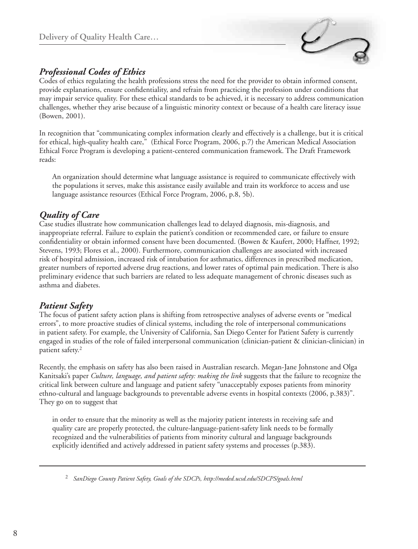

## *Professional Codes of Ethics*

Codes of ethics regulating the health professions stress the need for the provider to obtain informed consent, provide explanations, ensure confidentiality, and refrain from practicing the profession under conditions that may impair service quality. For these ethical standards to be achieved, it is necessary to address communication challenges, whether they arise because of a linguistic minority context or because of a health care literacy issue (Bowen, 2001).

In recognition that "communicating complex information clearly and effectively is a challenge, but it is critical for ethical, high-quality health care," (Ethical Force Program, 2006, p.7) the American Medical Association Ethical Force Program is developing a patient-centered communication framework. The Draft Framework reads:

An organization should determine what language assistance is required to communicate effectively with the populations it serves, make this assistance easily available and train its workforce to access and use language assistance resources (Ethical Force Program, 2006, p.8, 5b).

## *Quality of Care*

Case studies illustrate how communication challenges lead to delayed diagnosis, mis-diagnosis, and inappropriate referral. Failure to explain the patient's condition or recommended care, or failure to ensure confidentiality or obtain informed consent have been documented. (Bowen & Kaufert, 2000; Haffner, 1992; Stevens, 1993; Flores et al., 2000). Furthermore, communication challenges are associated with increased risk of hospital admission, increased risk of intubation for asthmatics, differences in prescribed medication, greater numbers of reported adverse drug reactions, and lower rates of optimal pain medication. There is also preliminary evidence that such barriers are related to less adequate management of chronic diseases such as asthma and diabetes.

## *Patient Safety*

The focus of patient safety action plans is shifting from retrospective analyses of adverse events or "medical errors", to more proactive studies of clinical systems, including the role of interpersonal communications in patient safety. For example, the University of California, San Diego Center for Patient Safety is currently engaged in studies of the role of failed interpersonal communication (clinician-patient & clinician-clinician) in patient safety.2

Recently, the emphasis on safety has also been raised in Australian research. Megan-Jane Johnstone and Olga Kanitsaki's paper *Culture, language, and patient safety: making the link* suggests that the failure to recognize the critical link between culture and language and patient safety "unacceptably exposes patients from minority ethno-cultural and language backgrounds to preventable adverse events in hospital contexts (2006, p.383)". They go on to suggest that

in order to ensure that the minority as well as the majority patient interests in receiving safe and quality care are properly protected, the culture-language-patient-safety link needs to be formally recognized and the vulnerabilities of patients from minority cultural and language backgrounds explicitly identified and actively addressed in patient safety systems and processes (p.383).

<sup>2</sup> *SanDiego County Patient Safety, Goals of the SDCPs, http://meded.ucsd.edu/SDCPS/goals.html*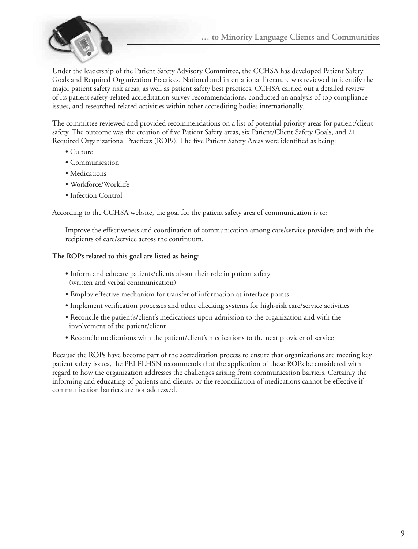

Under the leadership of the Patient Safety Advisory Committee, the CCHSA has developed Patient Safety Goals and Required Organization Practices. National and international literature was reviewed to identify the major patient safety risk areas, as well as patient safety best practices. CCHSA carried out a detailed review of its patient safety-related accreditation survey recommendations, conducted an analysis of top compliance issues, and researched related activities within other accrediting bodies internationally.

The committee reviewed and provided recommendations on a list of potential priority areas for patient/client safety. The outcome was the creation of five Patient Safety areas, six Patient/Client Safety Goals, and 21 Required Organizational Practices (ROPs). The five Patient Safety Areas were identified as being:

- Culture
- Communication
- Medications
- Workforce/Worklife
- Infection Control

According to the CCHSA website, the goal for the patient safety area of communication is to: 

Improve the effectiveness and coordination of communication among care/service providers and with the recipients of care/service across the continuum.

#### **The ROPs related to this goal are listed as being:**

- Inform and educate patients/clients about their role in patient safety (written and verbal communication)
- Employ effective mechanism for transfer of information at interface points
- Implement verification processes and other checking systems for high-risk care/service activities
- Reconcile the patient's/client's medications upon admission to the organization and with the involvement of the patient/client
- Reconcile medications with the patient/client's medications to the next provider of service

Because the ROPs have become part of the accreditation process to ensure that organizations are meeting key patient safety issues, the PEI FLHSN recommends that the application of these ROPs be considered with regard to how the organization addresses the challenges arising from communication barriers. Certainly the informing and educating of patients and clients, or the reconciliation of medications cannot be effective if communication barriers are not addressed.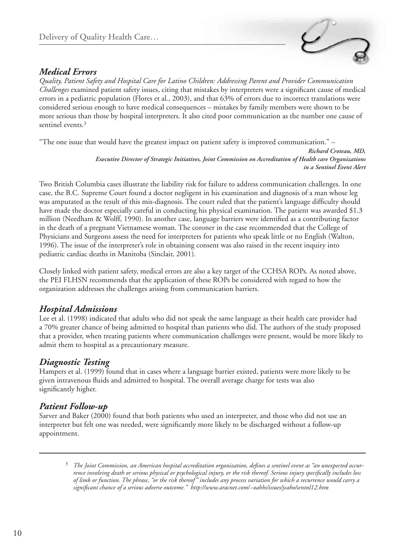### *Medical Errors*

*Quality, Patient Safety and Hospital Care for Latino Children: Addressing Parent and Provider Communication Challenges* examined patient safety issues, citing that mistakes by interpreters were a significant cause of medical errors in a pediatric population (Flores et al., 2003), and that 63% of errors due to incorrect translations were considered serious enough to have medical consequences – mistakes by family members were shown to be more serious than those by hospital interpreters. It also cited poor communication as the number one cause of sentinel events.<sup>3</sup>

"The one issue that would have the greatest impact on patient safety is improved communication." –

*Richard Croteau, MD, Executive Director of Strategic Initiatives, Joint Commission on Accreditation of Health care Organizations in a Sentinel Event Alert*

Two British Columbia cases illustrate the liability risk for failure to address communication challenges. In one case, the B.C. Supreme Court found a doctor negligent in his examination and diagnosis of a man whose leg was amputated as the result of this mis-diagnosis. The court ruled that the patient's language difficulty should have made the doctor especially careful in conducting his physical examination. The patient was awarded \$1.3 million (Needham & Wolff, 1990). In another case, language barriers were identified as a contributing factor in the death of a pregnant Vietnamese woman. The coroner in the case recommended that the College of Physicians and Surgeons assess the need for interpreters for patients who speak little or no English (Walton, 1996). The issue of the interpreter's role in obtaining consent was also raised in the recent inquiry into pediatric cardiac deaths in Manitoba (Sinclair, 2001).

Closely linked with patient safety, medical errors are also a key target of the CCHSA ROPs. As noted above, the PEI FLHSN recommends that the application of these ROPs be considered with regard to how the organization addresses the challenges arising from communication barriers.

### *Hospital Admissions*

Lee et al. (1998) indicated that adults who did not speak the same language as their health care provider had a 70% greater chance of being admitted to hospital than patients who did. The authors of the study proposed that a provider, when treating patients where communication challenges were present, would be more likely to admit them to hospital as a precautionary measure.

## *Diagnostic Testing*

Hampers et al. (1999) found that in cases where a language barrier existed, patients were more likely to be given intravenous fluids and admitted to hospital. The overall average charge for tests was also significantly higher.

### *Patient Follow-up*

Sarver and Baker (2000) found that both patients who used an interpreter, and those who did not use an interpreter but felt one was needed, were significantly more likely to be discharged without a follow-up appointment.

<sup>3</sup> *The Joint Commission, an American hospital accreditation organization, defines a sentinel event as "an unexpected occurrence involving death or serious physical or psychological injury, or the risk thereof. Serious injury specifically includes loss of limb or function. The phrase, "or the risk thereof" includes any process variation for which a recurrence would carry a significant chance of a serious adverse outcome." http://www.aracnet.com/~oahhs/issues/jcaho/sentnl12.htm*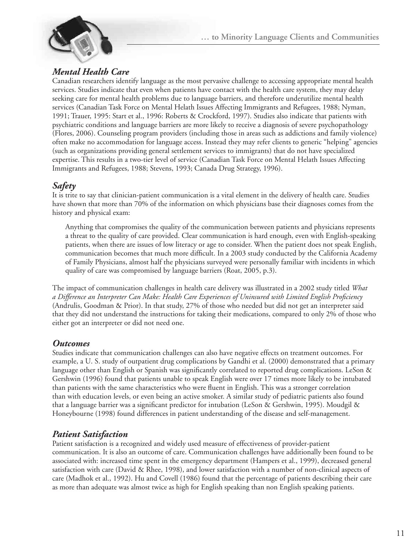

## *Mental Health Care*

Canadian researchers identify language as the most pervasive challenge to accessing appropriate mental health services. Studies indicate that even when patients have contact with the health care system, they may delay seeking care for mental health problems due to language barriers, and therefore underutilize mental health services (Canadian Task Force on Mental Helath Issues Affecting Immigrants and Refugees, 1988; Nyman, 1991; Trauer, 1995: Start et al., 1996: Roberts & Crockford, 1997). Studies also indicate that patients with psychiatric conditions and language barriers are more likely to receive a diagnosis of severe psychopathology (Flores, 2006). Counseling program providers (including those in areas such as addictions and family violence) often make no accommodation for language access. Instead they may refer clients to generic "helping" agencies (such as organizations providing general settlement services to immigrants) that do not have specialized expertise. This results in a two-tier level of service (Canadian Task Force on Mental Helath Issues Affecting Immigrants and Refugees, 1988; Stevens, 1993; Canada Drug Strategy, 1996).

## *Safety*

It is trite to say that clinician-patient communication is a vital element in the delivery of health care. Studies have shown that more than 70% of the information on which physicians base their diagnoses comes from the history and physical exam:

Anything that compromises the quality of the communication between patients and physicians represents a threat to the quality of care provided. Clear communication is hard enough, even with English-speaking patients, when there are issues of low literacy or age to consider. When the patient does not speak English, communication becomes that much more difficult. In a 2003 study conducted by the California Academy of Family Physicians, almost half the physicians surveyed were personally familiar with incidents in which quality of care was compromised by language barriers (Roat, 2005, p.3).

The impact of communication challenges in health care delivery was illustrated in a 2002 study titled *What a Difference an Interpreter Can Make: Health Care Experiences of Uninsured with Limited English Proficiency*  (Andrulis, Goodman & Prior). In that study, 27% of those who needed but did not get an interpreter said that they did not understand the instructions for taking their medications, compared to only 2% of those who either got an interpreter or did not need one.

### *Outcomes*

Studies indicate that communication challenges can also have negative effects on treatment outcomes. For example, a U. S. study of outpatient drug complications by Gandhi et al. (2000) demonstrated that a primary language other than English or Spanish was significantly correlated to reported drug complications. LeSon & Gershwin (1996) found that patients unable to speak English were over 17 times more likely to be intubated than patients with the same characteristics who were fluent in English. This was a stronger correlation than with education levels, or even being an active smoker. A similar study of pediatric patients also found that a language barrier was a significant predictor for intubation (LeSon & Gershwin, 1995). Moudgil & Honeybourne (1998) found differences in patient understanding of the disease and self-management.

### *Patient Satisfaction*

Patient satisfaction is a recognized and widely used measure of effectiveness of provider-patient communication. It is also an outcome of care. Communication challenges have additionally been found to be associated with: increased time spent in the emergency department (Hampers et al., 1999), decreased general satisfaction with care (David & Rhee, 1998), and lower satisfaction with a number of non-clinical aspects of care (Madhok et al., 1992). Hu and Covell (1986) found that the percentage of patients describing their care as more than adequate was almost twice as high for English speaking than non English speaking patients.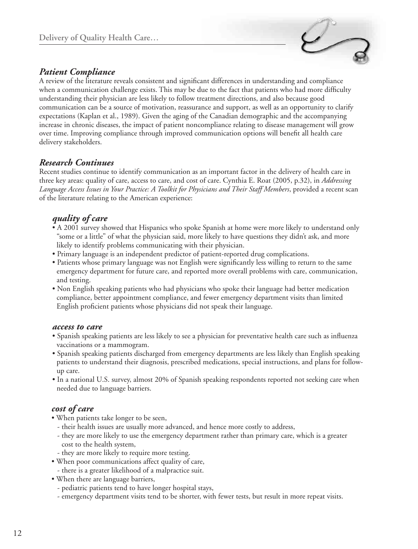

## *Patient Compliance*

A review of the literature reveals consistent and significant differences in understanding and compliance when a communication challenge exists. This may be due to the fact that patients who had more difficulty understanding their physician are less likely to follow treatment directions, and also because good communication can be a source of motivation, reassurance and support, as well as an opportunity to clarify expectations (Kaplan et al., 1989). Given the aging of the Canadian demographic and the accompanying increase in chronic diseases, the impact of patient noncompliance relating to disease management will grow over time. Improving compliance through improved communication options will benefit all health care delivery stakeholders.

### *Research Continues*

Recent studies continue to identify communication as an important factor in the delivery of health care in three key areas: quality of care, access to care, and cost of care. Cynthia E. Roat (2005, p.32), in *Addressing Language Access Issues in Your Practice: A Toolkit for Physicians and Their Staff Members*, provided a recent scan of the literature relating to the American experience:

## *quality of care*

- A 2001 survey showed that Hispanics who spoke Spanish at home were more likely to understand only "some or a little" of what the physician said, more likely to have questions they didn't ask, and more likely to identify problems communicating with their physician.
- Primary language is an independent predictor of patient-reported drug complications.
- Patients whose primary language was not English were significantly less willing to return to the same emergency department for future care, and reported more overall problems with care, communication, and testing.
- Non English speaking patients who had physicians who spoke their language had better medication compliance, better appointment compliance, and fewer emergency department visits than limited English proficient patients whose physicians did not speak their language.

#### *access to care*

- Spanish speaking patients are less likely to see a physician for preventative health care such as influenza vaccinations or a mammogram.
- Spanish speaking patients discharged from emergency departments are less likely than English speaking patients to understand their diagnosis, prescribed medications, special instructions, and plans for followup care.
- In a national U.S. survey, almost 20% of Spanish speaking respondents reported not seeking care when needed due to language barriers.

### *cost of care*

- When patients take longer to be seen,
	- their health issues are usually more advanced, and hence more costly to address,
- they are more likely to use the emergency department rather than primary care, which is a greater cost to the health system,
- they are more likely to require more testing.
- When poor communications affect quality of care,
- there is a greater likelihood of a malpractice suit.
- When there are language barriers,
- pediatric patients tend to have longer hospital stays,
- emergency department visits tend to be shorter, with fewer tests, but result in more repeat visits.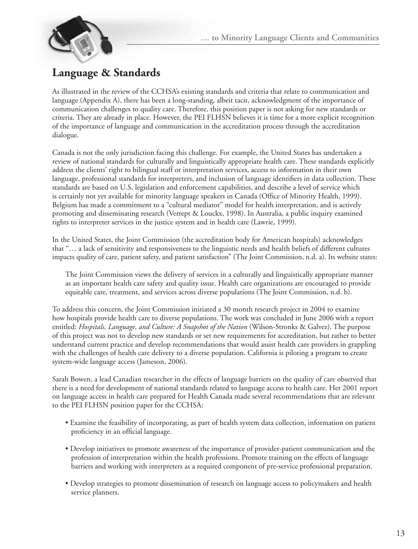

## **Language & Standards**

As illustrated in the review of the CCHSA's existing standards and criteria that relate to communication and language (Appendix A), there has been a long-standing, albeit tacit, acknowledgment of the importance of communication challenges to quality care. Therefore, this position paper is not asking for new standards or criteria. They are already in place. However, the PEI FLHSN believes it is time for a more explicit recognition of the importance of language and communication in the accreditation process through the accreditation dialogue.

Canada is not the only jurisdiction facing this challenge. For example, the United States has undertaken a review of national standards for culturally and linguistically appropriate health care. These standards explicitly address the clients' right to bilingual staff or interpretation services, access to information in their own language, professional standards for interpreters, and inclusion of language identifiers in data collection. These standards are based on U.S. legislation and enforcement capabilities, and describe a level of service which is certainly not yet available for minority language speakers in Canada (Office of Minority Health, 1999). Belgium has made a commitment to a "cultural mediator" model for health interpretation, and is actively promoting and disseminating research (Verrept & Louckx, 1998). In Australia, a public inquiry examined rights to interpreter services in the justice system and in health care (Lawrie, 1999).

In the United States, the Joint Commission (the accreditation body for American hospitals) acknowledges that "… a lack of sensitivity and responsiveness to the linguistic needs and health beliefs of different cultures impacts quality of care, patient safety, and patient satisfaction" (The Joint Commission, n.d. a). Its website states:

The Joint Commission views the delivery of services in a culturally and linguistically appropriate manner as an important health care safety and quality issue. Health care organizations are encouraged to provide equitable care, treatment, and services across diverse populations (The Joint Commission, n.d. b).

To address this concern, the Joint Commission initiated a 30 month research project in 2004 to examine how hospitals provide health care to diverse populations. The work was concluded in June 2006 with a report entitled: *Hospitals, Language, and Culture: A Snapshot of the Nation* (Wilson-Stronks & Galvez). The purpose of this project was not to develop new standards or set new requirements for accreditation, but rather to better understand current practice and develop recommendations that would assist health care providers in grappling with the challenges of health care delivery to a diverse population. California is piloting a program to create system-wide language access (Jameson, 2006).

Sarah Bowen, a lead Canadian researcher in the effects of language barriers on the quality of care observed that there is a need for development of national standards related to language access to health care. Her 2001 report on language access in health care prepared for Health Canada made several recommendations that are relevant to the PEI FLHSN position paper for the CCHSA:

- Examine the feasibility of incorporating, as part of health system data collection, information on patient proficiency in an official language.
- Develop initiatives to promote awareness of the importance of provider-patient communication and the profession of interpretation within the health professions. Promote training on the effects of language barriers and working with interpreters as a required component of pre-service professional preparation.
- Develop strategies to promote dissemination of research on language access to policymakers and health service planners.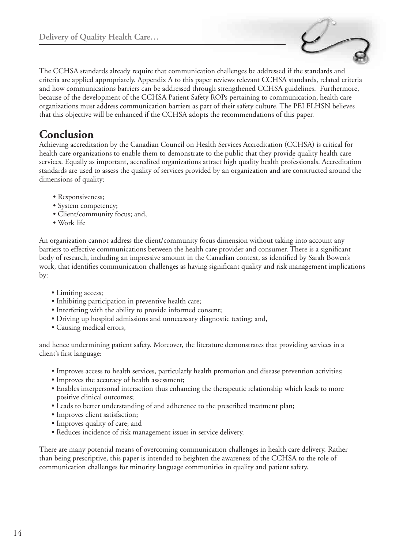

The CCHSA standards already require that communication challenges be addressed if the standards and criteria are applied appropriately. Appendix A to this paper reviews relevant CCHSA standards, related criteria and how communications barriers can be addressed through strengthened CCHSA guidelines. Furthermore, because of the development of the CCHSA Patient Safety ROPs pertaining to communication, health care organizations must address communication barriers as part of their safety culture. The PEI FLHSN believes that this objective will be enhanced if the CCHSA adopts the recommendations of this paper.

## **Conclusion**

Achieving accreditation by the Canadian Council on Health Services Accreditation (CCHSA) is critical for health care organizations to enable them to demonstrate to the public that they provide quality health care services. Equally as important, accredited organizations attract high quality health professionals. Accreditation standards are used to assess the quality of services provided by an organization and are constructed around the dimensions of quality:

- Responsiveness;
- System competency;
- Client/community focus; and,
- Work life

An organization cannot address the client/community focus dimension without taking into account any barriers to effective communications between the health care provider and consumer. There is a significant body of research, including an impressive amount in the Canadian context, as identified by Sarah Bowen's work, that identifies communication challenges as having significant quality and risk management implications by:

- Limiting access;
- Inhibiting participation in preventive health care;
- Interfering with the ability to provide informed consent;
- Driving up hospital admissions and unnecessary diagnostic testing; and,
- Causing medical errors,

and hence undermining patient safety. Moreover, the literature demonstrates that providing services in a client's first language:

- Improves access to health services, particularly health promotion and disease prevention activities;
- Improves the accuracy of health assessment;
- Enables interpersonal interaction thus enhancing the therapeutic relationship which leads to more positive clinical outcomes;
- Leads to better understanding of and adherence to the prescribed treatment plan;
- Improves client satisfaction;
- Improves quality of care; and
- Reduces incidence of risk management issues in service delivery.

There are many potential means of overcoming communication challenges in health care delivery. Rather than being prescriptive, this paper is intended to heighten the awareness of the CCHSA to the role of communication challenges for minority language communities in quality and patient safety.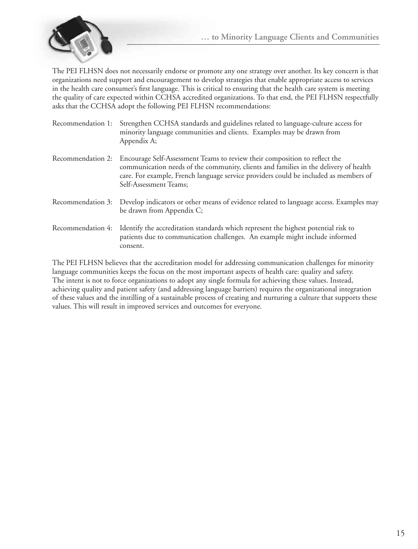

The PEI FLHSN does not necessarily endorse or promote any one strategy over another. Its key concern is that organizations need support and encouragement to develop strategies that enable appropriate access to services in the health care consumer's first language. This is critical to ensuring that the health care system is meeting the quality of care expected within CCHSA accredited organizations. To that end, the PEI FLHSN respectfully asks that the CCHSA adopt the following PEI FLHSN recommendations:

- Recommendation 1: Strengthen CCHSA standards and guidelines related to language-culture access for minority language communities and clients. Examples may be drawn from Appendix A;
- Recommendation 2: Encourage Self-Assessment Teams to review their composition to reflect the communication needs of the community, clients and families in the delivery of health care. For example, French language service providers could be included as members of Self-Assessment Teams;
- Recommendation 3: Develop indicators or other means of evidence related to language access. Examples may be drawn from Appendix C;
- Recommendation 4: Identify the accreditation standards which represent the highest potential risk to patients due to communication challenges. An example might include informed consent.

The PEI FLHSN believes that the accreditation model for addressing communication challenges for minority language communities keeps the focus on the most important aspects of health care: quality and safety. The intent is not to force organizations to adopt any single formula for achieving these values. Instead, achieving quality and patient safety (and addressing language barriers) requires the organizational integration of these values and the instilling of a sustainable process of creating and nurturing a culture that supports these values. This will result in improved services and outcomes for everyone.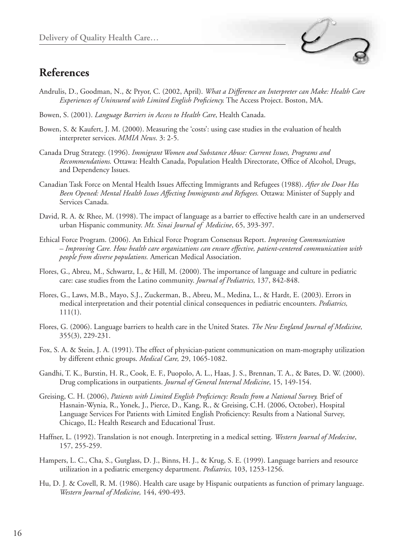## **References**



- Andrulis, D., Goodman, N., & Pryor, C. (2002, April). *What a Difference an Interpreter can Make: Health Care Experiences of Uninsured with Limited English Proficiency.* The Access Project. Boston, MA.
- Bowen, S. (2001). *Language Barriers in Access to Health Care*, Health Canada.
- Bowen, S. & Kaufert, J. M. (2000). Measuring the 'costs': using case studies in the evaluation of health interpreter services. *MMIA News*. 3: 2-5.
- Canada Drug Strategy. (1996). *Immigrant Women and Substance Abuse: Current Issues, Programs and Recommendations.* Ottawa: Health Canada, Population Health Directorate, Office of Alcohol, Drugs, and Dependency Issues.
- Canadian Task Force on Mental Health Issues Affecting Immigrants and Refugees (1988). *After the Door Has Been Opened: Mental Health Issues Affecting Immigrants and Refugees.* Ottawa: Minister of Supply and Services Canada.
- David, R. A. & Rhee, M. (1998). The impact of language as a barrier to effective health care in an underserved urban Hispanic community. *Mt. Sinai Journal of Medicine*, 65, 393-397.
- Ethical Force Program. (2006). An Ethical Force Program Consensus Report. *Improving Communication – Improving Care. How health care organizations can ensure effective, patient-centered communication with people from diverse populations.* American Medical Association.
- Flores, G., Abreu, M., Schwartz, I., & Hill, M. (2000). The importance of language and culture in pediatric care: case studies from the Latino community. *Journal of Pediatrics,* 137, 842-848.
- Flores, G., Laws, M.B., Mayo, S.J., Zuckerman, B., Abreu, M., Medina, L., & Hardt, E. (2003). Errors in medical interpretation and their potential clinical consequences in pediatric encounters. *Pediatrics,*  111(1).
- Flores, G. (2006). Language barriers to health care in the United States. *The New England Journal of Medicine,* 355(3), 229-231.
- Fox, S. A. & Stein, J. A. (1991). The effect of physician-patient communication on mam-mography utilization by different ethnic groups. *Medical Care,* 29, 1065-1082.
- Gandhi, T. K., Burstin, H. R., Cook, E. F., Puopolo, A. L., Haas, J. S., Brennan, T. A., & Bates, D. W. (2000). Drug complications in outpatients. *Journal of General Internal Medicine*, 15, 149-154.
- Greising, C. H. (2006), *Patients with Limited English Proficiency: Results from a National Survey.* Brief of Hasnain-Wynia, R., Yonek, J., Pierce, D., Kang, R., & Greising, C.H. (2006, October), Hospital Language Services For Patients with Limited English Proficiency: Results from a National Survey, Chicago, IL: Health Research and Educational Trust.
- Haffner, L. (1992). Translation is not enough. Interpreting in a medical setting. *Western Journal of Medecine*, 157, 255-259.
- Hampers, L. C., Cha, S., Gutglass, D. J., Binns, H. J., & Krug, S. E. (1999). Language barriers and resource utilization in a pediatric emergency department. *Pediatrics,* 103, 1253-1256.
- Hu, D. J. & Covell, R. M. (1986). Health care usage by Hispanic outpatients as function of primary language. *Western Journal of Medicine,* 144, 490-493.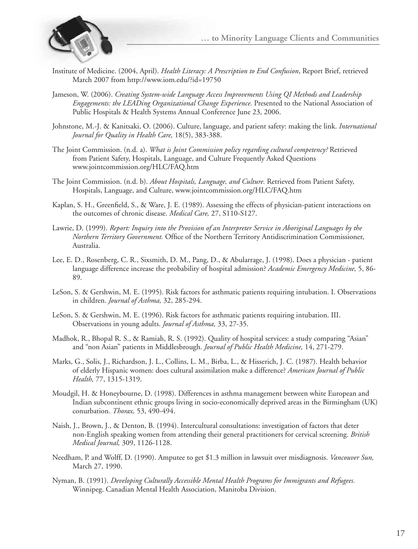

- Institute of Medicine. (2004, April). *Health Literacy: A Prescription to End Confusion*, Report Brief, retrieved March 2007 from http://www.iom.edu/?id=19750
- Jameson, W. (2006). *Creating System-wide Language Access Improvements Using QI Methods and Leadership Engagements: the LEADing Organizational Change Experience.* Presented to the National Association of Public Hospitals & Health Systems Annual Conference June 23, 2006.
- Johnstone, M.-J. & Kanitsaki, O. (2006). Culture, language, and patient safety: making the link. *International Journal for Quality in Health Care,* 18(5), 383-388.
- The Joint Commission. (n.d. a). *What is Joint Commission policy regarding cultural competency?* Retrieved from Patient Safety, Hospitals, Language, and Culture Frequently Asked Questions www.jointcommission.org/HLC/FAQ.htm
- The Joint Commission. (n.d. b). *About Hospitals, Language, and Culture.* Retrieved from Patient Safety, Hospitals, Language, and Culture, www.jointcommission.org/HLC/FAQ.htm
- Kaplan, S. H., Greenfield, S., & Ware, J. E. (1989). Assessing the effects of physician-patient interactions on the outcomes of chronic disease. *Medical Care,* 27, S110-S127.
- Lawrie, D. (1999). *Report: Inquiry into the Provision of an Interpreter Service in Aboriginal Languages by the Northern Territory Government.* Office of the Northern Territory Antidiscrimination Commissioner, Australia.
- Lee, E. D., Rosenberg, C. R., Sixsmith, D. M., Pang, D., & Abularrage, J. (1998). Does a physician patient language difference increase the probability of hospital admission? *Academic Emergency Medicine,* 5, 86- 89.
- LeSon, S. & Gershwin, M. E. (1995). Risk factors for asthmatic patients requiring intubation. I. Observations in children. *Journal of Asthma,* 32, 285-294.
- LeSon, S. & Gershwin, M. E. (1996). Risk factors for asthmatic patients requiring intubation. III. Observations in young adults. *Journal of Asthma,* 33, 27-35.
- Madhok, R., Bhopal R. S., & Ramiah, R. S. (1992). Quality of hospital services: a study comparing "Asian" and "non Asian" patients in Middlesbrough. *Journal of Public Health Medicine,* 14, 271-279.
- Marks, G., Solis, J., Richardson, J. L., Collins, L. M., Birba, L., & Hisserich, J. C. (1987). Health behavior of elderly Hispanic women: does cultural assimilation make a difference? *American Journal of Public Health,* 77, 1315-1319.
- Moudgil, H. & Honeybourne, D. (1998). Differences in asthma management between white European and Indian subcontinent ethnic groups living in socio-economically deprived areas in the Birmingham (UK) conurbation. *Thorax,* 53, 490-494.
- Naish, J., Brown, J., & Denton, B. (1994). Intercultural consultations: investigation of factors that deter non-English speaking women from attending their general practitioners for cervical screening. *British Medical Journal,* 309, 1126-1128.
- Needham, P. and Wolff, D. (1990). Amputee to get \$1.3 million in lawsuit over misdiagnosis. *Vancouver Sun,* March 27, 1990.
- Nyman, B. (1991). *Developing Culturally Accessible Mental Health Programs for Immigrants and Refugees.* Winnipeg. Canadian Mental Health Association, Manitoba Division.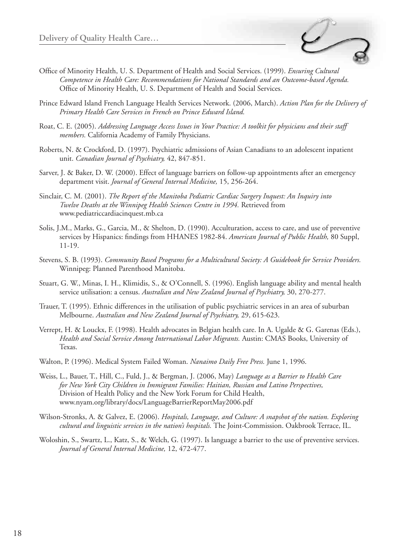

- Office of Minority Health, U. S. Department of Health and Social Services. (1999). *Ensuring Cultural Competence in Health Care: Recommendations for National Standards and an Outcome-based Agenda.* Office of Minority Health, U. S. Department of Health and Social Services.
- Prince Edward Island French Language Health Services Network. (2006, March). *Action Plan for the Delivery of Primary Health Care Services in French on Prince Edward Island.*
- Roat, C. E. (2005). *Addressing Language Access Issues in Your Practice: A toolkit for physicians and their staff members.* California Academy of Family Physicians.
- Roberts, N. & Crockford, D. (1997). Psychiatric admissions of Asian Canadians to an adolescent inpatient unit. *Canadian Journal of Psychiatry,* 42, 847-851.
- Sarver, J. & Baker, D. W. (2000). Effect of language barriers on follow-up appointments after an emergency department visit. *Journal of General Internal Medicine,* 15, 256-264.
- Sinclair, C. M. (2001). *The Report of the Manitoba Pediatric Cardiac Surgery Inquest: An Inquiry into Twelve Deaths at the Winnipeg Health Sciences Centre in 1994.* Retrieved from www.pediatriccardiacinquest.mb.ca
- Solis, J.M., Marks, G., Garcia, M., & Shelton, D. (1990). Acculturation, access to care, and use of preventive services by Hispanics: findings from HHANES 1982-84. *American Journal of Public Health,* 80 Suppl, 11-19.
- Stevens, S. B. (1993). *Community Based Programs for a Multicultural Society: A Guidebook for Service Providers.* Winnipeg: Planned Parenthood Manitoba.
- Stuart, G. W., Minas, I. H., Klimidis, S., & O'Connell, S. (1996). English language ability and mental health service utilisation: a census. *Australian and New Zealand Journal of Psychiatry,* 30, 270-277.
- Trauer, T. (1995). Ethnic differences in the utilisation of public psychiatric services in an area of suburban Melbourne. *Australian and New Zealand Journal of Psychiatry,* 29, 615-623.
- Verrept, H. & Louckx, F. (1998). Health advocates in Belgian health care. In A. Ugalde & G. Garenas (Eds.), *Health and Social Service Among International Labor Migrants.* Austin: CMAS Books, University of Texas.
- Walton, P. (1996). Medical System Failed Woman. *Nanaimo Daily Free Press.* June 1, 1996.
- Weiss, L., Bauer, T., Hill, C., Fuld, J., & Bergman, J. (2006, May) *Language as a Barrier to Health Care for New York City Children in Immigrant Families: Haitian, Russian and Latino Perspectives,*  Division of Health Policy and the New York Forum for Child Health, www.nyam.org/library/docs/LanguageBarrierReportMay2006.pdf
- Wilson-Stronks, A. & Galvez, E. (2006). *Hospitals, Language, and Culture: A snapshot of the nation. Exploring cultural and linguistic services in the nation's hospitals.* The Joint-Commission. Oakbrook Terrace, IL.
- Woloshin, S., Swartz, L., Katz, S., & Welch, G. (1997). Is language a barrier to the use of preventive services. *Journal of General Internal Medicine,* 12, 472-477.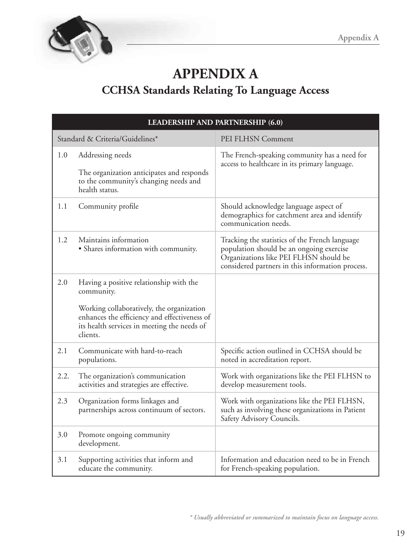

## **APPENDIX A CCHSA Standards Relating To Language Access**

| LEADERSHIP AND PARTNERSHIP (6.0) |                                                                                                                                                                                                               |                                                                                                                                                                                          |
|----------------------------------|---------------------------------------------------------------------------------------------------------------------------------------------------------------------------------------------------------------|------------------------------------------------------------------------------------------------------------------------------------------------------------------------------------------|
|                                  | Standard & Criteria/Guidelines*                                                                                                                                                                               | PEI FLHSN Comment                                                                                                                                                                        |
| 1.0                              | Addressing needs<br>The organization anticipates and responds<br>to the community's changing needs and<br>health status.                                                                                      | The French-speaking community has a need for<br>access to healthcare in its primary language.                                                                                            |
| 1.1                              | Community profile                                                                                                                                                                                             | Should acknowledge language aspect of<br>demographics for catchment area and identify<br>communication needs.                                                                            |
| 1.2                              | Maintains information<br>· Shares information with community.                                                                                                                                                 | Tracking the statistics of the French language<br>population should be an ongoing exercise<br>Organizations like PEI FLHSN should be<br>considered partners in this information process. |
| 2.0                              | Having a positive relationship with the<br>community.<br>Working collaboratively, the organization<br>enhances the efficiency and effectiveness of<br>its health services in meeting the needs of<br>clients. |                                                                                                                                                                                          |
| 2.1                              | Communicate with hard-to-reach<br>populations.                                                                                                                                                                | Specific action outlined in CCHSA should be<br>noted in accreditation report.                                                                                                            |
| 2.2.                             | The organization's communication<br>activities and strategies are effective.                                                                                                                                  | Work with organizations like the PEI FLHSN to<br>develop measurement tools.                                                                                                              |
| 2.3                              | Organization forms linkages and<br>partnerships across continuum of sectors.                                                                                                                                  | Work with organizations like the PEI FLHSN,<br>such as involving these organizations in Patient<br>Safety Advisory Councils.                                                             |
| 3.0                              | Promote ongoing community<br>development.                                                                                                                                                                     |                                                                                                                                                                                          |
| 3.1                              | Supporting activities that inform and<br>educate the community.                                                                                                                                               | Information and education need to be in French<br>for French-speaking population.                                                                                                        |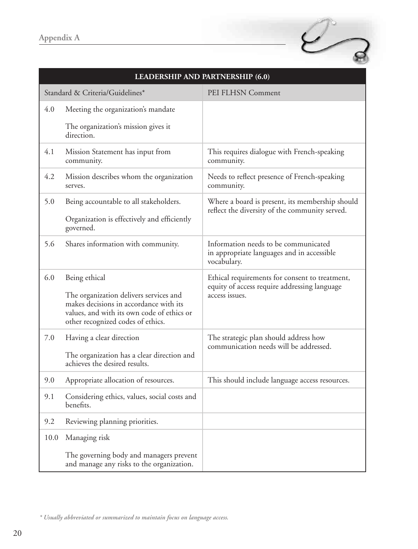| <b>LEADERSHIP AND PARTNERSHIP (6.0)</b> |                                                                                                                                                                                      |                                                                                                                  |
|-----------------------------------------|--------------------------------------------------------------------------------------------------------------------------------------------------------------------------------------|------------------------------------------------------------------------------------------------------------------|
|                                         | Standard & Criteria/Guidelines*                                                                                                                                                      | PEI FLHSN Comment                                                                                                |
| 4.0                                     | Meeting the organization's mandate                                                                                                                                                   |                                                                                                                  |
|                                         | The organization's mission gives it<br>direction.                                                                                                                                    |                                                                                                                  |
| 4.1                                     | Mission Statement has input from<br>community.                                                                                                                                       | This requires dialogue with French-speaking<br>community.                                                        |
| 4.2                                     | Mission describes whom the organization<br>serves.                                                                                                                                   | Needs to reflect presence of French-speaking<br>community.                                                       |
| 5.0                                     | Being accountable to all stakeholders.                                                                                                                                               | Where a board is present, its membership should                                                                  |
|                                         | Organization is effectively and efficiently<br>governed.                                                                                                                             | reflect the diversity of the community served.                                                                   |
| 5.6                                     | Shares information with community.                                                                                                                                                   | Information needs to be communicated<br>in appropriate languages and in accessible<br>vocabulary.                |
| 6.0                                     | Being ethical<br>The organization delivers services and<br>makes decisions in accordance with its<br>values, and with its own code of ethics or<br>other recognized codes of ethics. | Ethical requirements for consent to treatment,<br>equity of access require addressing language<br>access issues. |
| 7.0                                     | Having a clear direction<br>The organization has a clear direction and<br>achieves the desired results.                                                                              | The strategic plan should address how<br>communication needs will be addressed.                                  |
| 9.0                                     | Appropriate allocation of resources.                                                                                                                                                 | This should include language access resources.                                                                   |
| 9.1                                     | Considering ethics, values, social costs and<br>benefits.                                                                                                                            |                                                                                                                  |
| 9.2                                     | Reviewing planning priorities.                                                                                                                                                       |                                                                                                                  |
| 10.0                                    | Managing risk                                                                                                                                                                        |                                                                                                                  |
|                                         | The governing body and managers prevent<br>and manage any risks to the organization.                                                                                                 |                                                                                                                  |

 $\mathcal{C}_{\mathcal{B}}$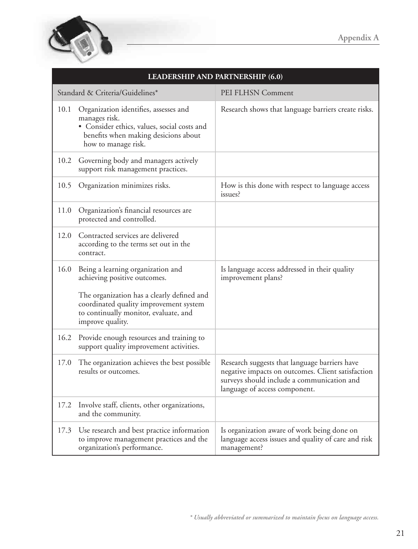

| <b>LEADERSHIP AND PARTNERSHIP (6.0)</b> |                                                                                                                                                                      |                                                                                                                                                                                   |
|-----------------------------------------|----------------------------------------------------------------------------------------------------------------------------------------------------------------------|-----------------------------------------------------------------------------------------------------------------------------------------------------------------------------------|
|                                         | Standard & Criteria/Guidelines*                                                                                                                                      | PEI FLHSN Comment                                                                                                                                                                 |
| 10.1                                    | Organization identifies, assesses and<br>manages risk.<br>• Consider ethics, values, social costs and<br>benefits when making desicions about<br>how to manage risk. | Research shows that language barriers create risks.                                                                                                                               |
| 10.2                                    | Governing body and managers actively<br>support risk management practices.                                                                                           |                                                                                                                                                                                   |
| 10.5                                    | Organization minimizes risks.                                                                                                                                        | How is this done with respect to language access<br>issues?                                                                                                                       |
| 11.0                                    | Organization's financial resources are<br>protected and controlled.                                                                                                  |                                                                                                                                                                                   |
| 12.0                                    | Contracted services are delivered<br>according to the terms set out in the<br>contract.                                                                              |                                                                                                                                                                                   |
| 16.0                                    | Being a learning organization and<br>achieving positive outcomes.                                                                                                    | Is language access addressed in their quality<br>improvement plans?                                                                                                               |
|                                         | The organization has a clearly defined and<br>coordinated quality improvement system<br>to continually monitor, evaluate, and<br>improve quality.                    |                                                                                                                                                                                   |
| 16.2                                    | Provide enough resources and training to<br>support quality improvement activities.                                                                                  |                                                                                                                                                                                   |
| 17.0                                    | The organization achieves the best possible<br>results or outcomes.                                                                                                  | Research suggests that language barriers have<br>negative impacts on outcomes. Client satisfaction<br>surveys should include a communication and<br>language of access component. |
| 17.2                                    | Involve staff, clients, other organizations,<br>and the community.                                                                                                   |                                                                                                                                                                                   |
| 17.3                                    | Use research and best practice information<br>to improve management practices and the<br>organization's performance.                                                 | Is organization aware of work being done on<br>language access issues and quality of care and risk<br>management?                                                                 |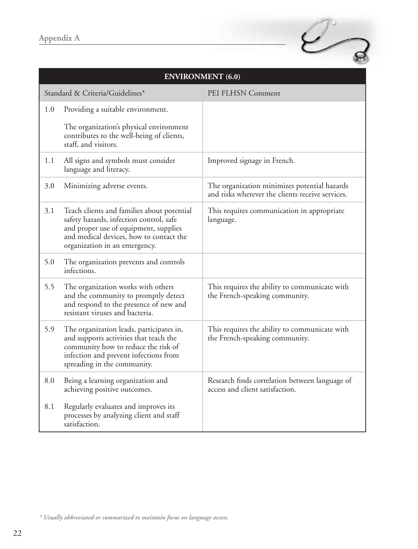|     | <b>ENVIRONMENT</b> (6.0)                                                                                                                                                                                   |                                                                                                  |  |
|-----|------------------------------------------------------------------------------------------------------------------------------------------------------------------------------------------------------------|--------------------------------------------------------------------------------------------------|--|
|     | Standard & Criteria/Guidelines*                                                                                                                                                                            | PEI FLHSN Comment                                                                                |  |
| 1.0 | Providing a suitable environment.                                                                                                                                                                          |                                                                                                  |  |
|     | The organization's physical environment<br>contributes to the well-being of clients,<br>staff, and visitors.                                                                                               |                                                                                                  |  |
| 1.1 | All signs and symbols must consider<br>language and literacy.                                                                                                                                              | Improved signage in French.                                                                      |  |
| 3.0 | Minimizing adverse events.                                                                                                                                                                                 | The organization minimizes potential hazards<br>and risks wherever the clients receive services. |  |
| 3.1 | Teach clients and families about potential<br>safety hazards, infection control, safe<br>and proper use of equipment, supplies<br>and medical devices, how to contact the<br>organization in an emergency. | This requires communication in appropriate<br>language.                                          |  |
| 5.0 | The organization prevents and controls<br>infections.                                                                                                                                                      |                                                                                                  |  |
| 5.5 | The organization works with others<br>and the community to promptly detect<br>and respond to the presence of new and<br>resistant viruses and bacteria.                                                    | This requires the ability to communicate with<br>the French-speaking community.                  |  |
| 5.9 | The organization leads, participates in,<br>and supports activities that teach the<br>community how to reduce the risk of<br>infection and prevent infections from<br>spreading in the community.          | This requires the ability to communicate with<br>the French-speaking community.                  |  |
| 8.0 | Being a learning organization and<br>achieving positive outcomes.                                                                                                                                          | Research finds correlation between language of<br>access and client satisfaction.                |  |
| 8.1 | Regularly evaluates and improves its<br>processes by analyzing client and staff<br>satisfaction.                                                                                                           |                                                                                                  |  |

 $\mathcal{C}_{\mathcal{B}}$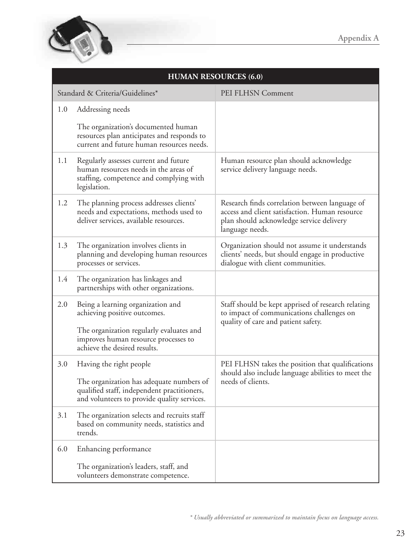

| <b>HUMAN RESOURCES (6.0)</b> |                                                                                                                                                                                       |                                                                                                                                                                 |
|------------------------------|---------------------------------------------------------------------------------------------------------------------------------------------------------------------------------------|-----------------------------------------------------------------------------------------------------------------------------------------------------------------|
|                              | Standard & Criteria/Guidelines*                                                                                                                                                       | PEI FLHSN Comment                                                                                                                                               |
| 1.0                          | Addressing needs<br>The organization's documented human<br>resources plan anticipates and responds to<br>current and future human resources needs.                                    |                                                                                                                                                                 |
| 1.1                          | Regularly assesses current and future<br>human resources needs in the areas of<br>staffing, competence and complying with<br>legislation.                                             | Human resource plan should acknowledge<br>service delivery language needs.                                                                                      |
| 1.2                          | The planning process addresses clients'<br>needs and expectations, methods used to<br>deliver services, available resources.                                                          | Research finds correlation between language of<br>access and client satisfaction. Human resource<br>plan should acknowledge service delivery<br>language needs. |
| 1.3                          | The organization involves clients in<br>planning and developing human resources<br>processes or services.                                                                             | Organization should not assume it understands<br>clients' needs, but should engage in productive<br>dialogue with client communities.                           |
| 1.4                          | The organization has linkages and<br>partnerships with other organizations.                                                                                                           |                                                                                                                                                                 |
| 2.0                          | Being a learning organization and<br>achieving positive outcomes.<br>The organization regularly evaluates and<br>improves human resource processes to<br>achieve the desired results. | Staff should be kept apprised of research relating<br>to impact of communications challenges on<br>quality of care and patient safety.                          |
| 3.0                          | Having the right people<br>The organization has adequate numbers of<br>qualified staff, independent practitioners,<br>and volunteers to provide quality services.                     | PEI FLHSN takes the position that qualifications<br>should also include language abilities to meet the<br>needs of clients.                                     |
| 3.1                          | The organization selects and recruits staff<br>based on community needs, statistics and<br>trends.                                                                                    |                                                                                                                                                                 |
| 6.0                          | Enhancing performance<br>The organization's leaders, staff, and<br>volunteers demonstrate competence.                                                                                 |                                                                                                                                                                 |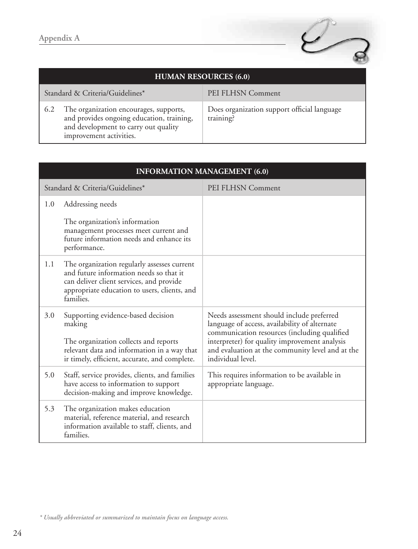

| <b>HUMAN RESOURCES (6.0)</b>                                                                                                                                  |                                                          |  |
|---------------------------------------------------------------------------------------------------------------------------------------------------------------|----------------------------------------------------------|--|
| Standard & Criteria/Guidelines*                                                                                                                               | PEI FLHSN Comment                                        |  |
| The organization encourages, supports,<br>6.2<br>and provides ongoing education, training,<br>and development to carry out quality<br>improvement activities. | Does organization support official language<br>training? |  |

| <b>INFORMATION MANAGEMENT (6.0)</b> |                                                                                                                                                                                                 |                                                                                                                                                                                                                                                                      |
|-------------------------------------|-------------------------------------------------------------------------------------------------------------------------------------------------------------------------------------------------|----------------------------------------------------------------------------------------------------------------------------------------------------------------------------------------------------------------------------------------------------------------------|
|                                     | Standard & Criteria/Guidelines*                                                                                                                                                                 | PEI FLHSN Comment                                                                                                                                                                                                                                                    |
| 1.0                                 | Addressing needs                                                                                                                                                                                |                                                                                                                                                                                                                                                                      |
|                                     | The organization's information<br>management processes meet current and<br>future information needs and enhance its<br>performance.                                                             |                                                                                                                                                                                                                                                                      |
| 1.1                                 | The organization regularly assesses current<br>and future information needs so that it<br>can deliver client services, and provide<br>appropriate education to users, clients, and<br>families. |                                                                                                                                                                                                                                                                      |
| 3.0                                 | Supporting evidence-based decision<br>making<br>The organization collects and reports<br>relevant data and information in a way that<br>ir timely, efficient, accurate, and complete.           | Needs assessment should include preferred<br>language of access, availability of alternate<br>communication resources (including qualified<br>interpreter) for quality improvement analysis<br>and evaluation at the community level and at the<br>individual level. |
| 5.0                                 | Staff, service provides, clients, and families<br>have access to information to support<br>decision-making and improve knowledge.                                                               | This requires information to be available in<br>appropriate language.                                                                                                                                                                                                |
| 5.3                                 | The organization makes education<br>material, reference material, and research<br>information available to staff, clients, and<br>families.                                                     |                                                                                                                                                                                                                                                                      |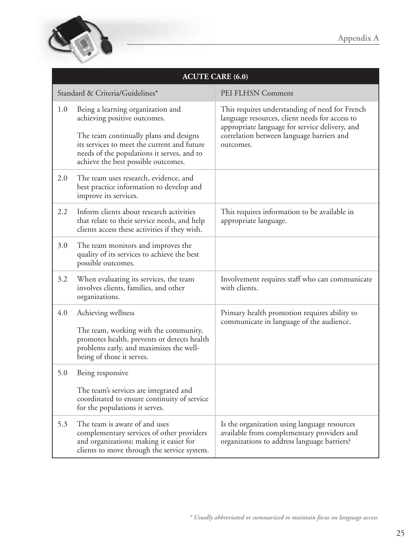

| <b>ACUTE CARE (6.0)</b> |                                                                                                                                                                                                                                                 |                                                                                                                                                                                                              |
|-------------------------|-------------------------------------------------------------------------------------------------------------------------------------------------------------------------------------------------------------------------------------------------|--------------------------------------------------------------------------------------------------------------------------------------------------------------------------------------------------------------|
|                         | Standard & Criteria/Guidelines*                                                                                                                                                                                                                 | PEI FLHSN Comment                                                                                                                                                                                            |
| 1.0                     | Being a learning organization and<br>achieving positive outcomes.<br>The team continually plans and designs<br>its services to meet the current and future<br>needs of the populations it serves, and to<br>achieve the best possible outcomes. | This requires understanding of need for French<br>language resources, client needs for access to<br>appropriate language for service delivery, and<br>correlation between language barriers and<br>outcomes. |
| 2.0                     | The team uses research, evidence, and<br>best practice information to develop and<br>improve its services.                                                                                                                                      |                                                                                                                                                                                                              |
| 2.2                     | Inform clients about research activities<br>that relate to their service needs, and help<br>clients access these activities if they wish.                                                                                                       | This requires information to be available in<br>appropriate language.                                                                                                                                        |
| 3.0                     | The team monitors and improves the<br>quality of its services to achieve the best<br>possible outcomes.                                                                                                                                         |                                                                                                                                                                                                              |
| 3.2                     | When evaluating its services, the team<br>involves clients, families, and other<br>organizations.                                                                                                                                               | Involvement requires staff who can communicate<br>with clients.                                                                                                                                              |
| 4.0                     | Achieving wellness<br>The team, working with the community,<br>promotes health, prevents or detects health<br>problems early, and maximizes the well-<br>being of those it serves.                                                              | Primary health promotion requires ability to<br>communicate in language of the audience.                                                                                                                     |
| 5.0                     | Being responsive                                                                                                                                                                                                                                |                                                                                                                                                                                                              |
|                         | The team's services are integrated and<br>coordinated to ensure continuity of service<br>for the populations it serves.                                                                                                                         |                                                                                                                                                                                                              |
| 5.3                     | The team is aware of and uses<br>complementary services of other providers<br>and organizations; making it easier for<br>clients to move through the service system.                                                                            | Is the organization using language resources<br>available from complementary providers and<br>organizations to address language barriers?                                                                    |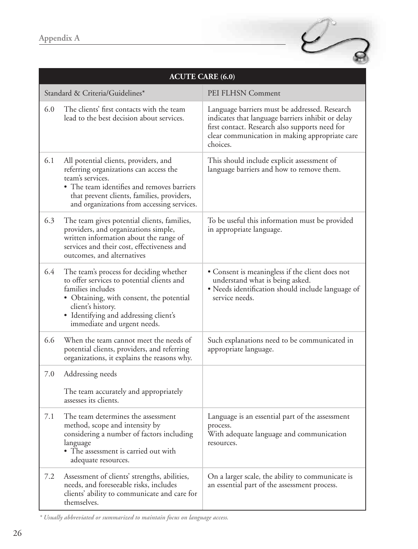

| <b>ACUTE CARE (6.0)</b> |                                                                                                                                                                                                                                                     |                                                                                                                                                                                                                    |
|-------------------------|-----------------------------------------------------------------------------------------------------------------------------------------------------------------------------------------------------------------------------------------------------|--------------------------------------------------------------------------------------------------------------------------------------------------------------------------------------------------------------------|
|                         | Standard & Criteria/Guidelines*                                                                                                                                                                                                                     | PEI FLHSN Comment                                                                                                                                                                                                  |
| 6.0                     | The clients' first contacts with the team<br>lead to the best decision about services.                                                                                                                                                              | Language barriers must be addressed. Research<br>indicates that language barriers inhibit or delay<br>first contact. Research also supports need for<br>clear communication in making appropriate care<br>choices. |
| 6.1                     | All potential clients, providers, and<br>referring organizations can access the<br>team's services.<br>• The team identifies and removes barriers<br>that prevent clients, families, providers,<br>and organizations from accessing services.       | This should include explicit assessment of<br>language barriers and how to remove them.                                                                                                                            |
| 6.3                     | The team gives potential clients, families,<br>providers, and organizations simple,<br>written information about the range of<br>services and their cost, effectiveness and<br>outcomes, and alternatives                                           | To be useful this information must be provided<br>in appropriate language.                                                                                                                                         |
| 6.4                     | The team's process for deciding whether<br>to offer services to potential clients and<br>families includes<br>· Obtaining, with consent, the potential<br>client's history.<br>· Identifying and addressing client's<br>immediate and urgent needs. | • Consent is meaningless if the client does not<br>understand what is being asked.<br>• Needs identification should include language of<br>service needs.                                                          |
| 6.6                     | When the team cannot meet the needs of<br>potential clients, providers, and referring<br>organizations, it explains the reasons why.                                                                                                                | Such explanations need to be communicated in<br>appropriate language.                                                                                                                                              |
| 7.0                     | Addressing needs<br>The team accurately and appropriately<br>assesses its clients.                                                                                                                                                                  |                                                                                                                                                                                                                    |
| 7.1                     | The team determines the assessment<br>method, scope and intensity by<br>considering a number of factors including<br>language<br>• The assessment is carried out with<br>adequate resources.                                                        | Language is an essential part of the assessment<br>process.<br>With adequate language and communication<br>resources.                                                                                              |
| 7.2                     | Assessment of clients' strengths, abilities,<br>needs, and foreseeable risks, includes<br>clients' ability to communicate and care for<br>themselves.                                                                                               | On a larger scale, the ability to communicate is<br>an essential part of the assessment process.                                                                                                                   |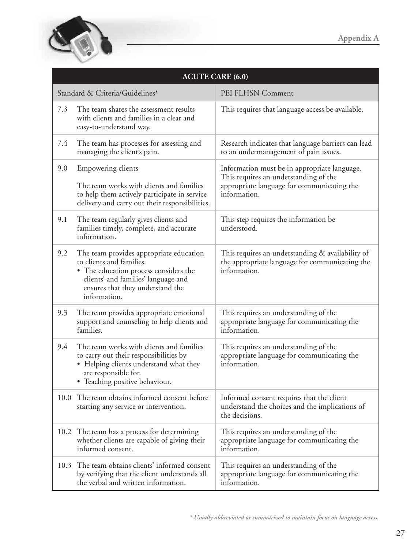

| <b>ACUTE CARE (6.0)</b>         |                                                                                                                                                                                                         |                                                                                                                                                     |
|---------------------------------|---------------------------------------------------------------------------------------------------------------------------------------------------------------------------------------------------------|-----------------------------------------------------------------------------------------------------------------------------------------------------|
| Standard & Criteria/Guidelines* |                                                                                                                                                                                                         | PEI FLHSN Comment                                                                                                                                   |
| 7.3                             | The team shares the assessment results<br>with clients and families in a clear and<br>easy-to-understand way.                                                                                           | This requires that language access be available.                                                                                                    |
| 7.4                             | The team has processes for assessing and<br>managing the client's pain.                                                                                                                                 | Research indicates that language barriers can lead<br>to an undermanagement of pain issues.                                                         |
| 9.0                             | Empowering clients<br>The team works with clients and families<br>to help them actively participate in service<br>delivery and carry out their responsibilities.                                        | Information must be in appropriate language.<br>This requires an understanding of the<br>appropriate language for communicating the<br>information. |
| 9.1                             | The team regularly gives clients and<br>families timely, complete, and accurate<br>information.                                                                                                         | This step requires the information be<br>understood.                                                                                                |
| 9.2                             | The team provides appropriate education<br>to clients and families.<br>• The education process considers the<br>clients' and families' language and<br>ensures that they understand the<br>information. | This requires an understanding & availability of<br>the appropriate language for communicating the<br>information.                                  |
| 9.3                             | The team provides appropriate emotional<br>support and counseling to help clients and<br>families.                                                                                                      | This requires an understanding of the<br>appropriate language for communicating the<br>information.                                                 |
| 9.4                             | The team works with clients and families<br>to carry out their responsibilities by<br>• Helping clients understand what they<br>are responsible for.<br>• Teaching positive behaviour.                  | This requires an understanding of the<br>appropriate language for communicating the<br>information.                                                 |
|                                 | 10.0 The team obtains informed consent before<br>starting any service or intervention.                                                                                                                  | Informed consent requires that the client<br>understand the choices and the implications of<br>the decisions.                                       |
| 10.2                            | The team has a process for determining<br>whether clients are capable of giving their<br>informed consent.                                                                                              | This requires an understanding of the<br>appropriate language for communicating the<br>information.                                                 |
| 10.3                            | The team obtains clients' informed consent<br>by verifying that the client understands all<br>the verbal and written information.                                                                       | This requires an understanding of the<br>appropriate language for communicating the<br>information.                                                 |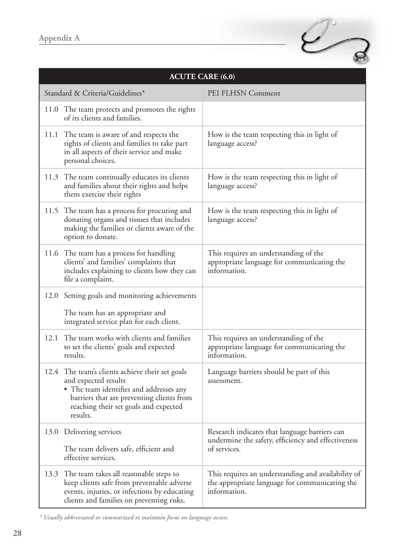|      |                                                                                                                                                                                                                      | <b>ACUTE CARE (6.0)</b>                                                                                              |
|------|----------------------------------------------------------------------------------------------------------------------------------------------------------------------------------------------------------------------|----------------------------------------------------------------------------------------------------------------------|
|      | Standard & Criteria/Guidelines*                                                                                                                                                                                      | PEI FLHSN Comment                                                                                                    |
|      | 11.0 The team protects and promotes the rights<br>of its clients and families.                                                                                                                                       |                                                                                                                      |
|      | 11.1 The team is aware of and respects the<br>rights of clients and families to take part<br>in all aspects of their service and make<br>personal choices.                                                           | How is the team respecting this in light of<br>language access?                                                      |
|      | 11.3 The team continually educates its clients<br>and families about their rights and helps<br>them exercise their rights                                                                                            | How is the team respecting this in light of<br>language access?                                                      |
|      | 11.5 The team has a process for procuring and<br>donating organs and tissues that includes<br>making the families or clients aware of the<br>option to donate.                                                       | How is the team respecting this in light of<br>language access?                                                      |
|      | 11.6 The team has a process for handling<br>clients' and families' complaints that<br>includes explaining to clients how they can<br>file a complaint.                                                               | This requires an understanding of the<br>appropriate language for communicating the<br>information.                  |
| 12.0 | Setting goals and monitoring achievements<br>The team has an appropriate and<br>integrated service plan for each client.                                                                                             |                                                                                                                      |
| 12.1 | The team works with clients and families<br>to set the clients' goals and expected<br>results.                                                                                                                       | This requires an understanding of the<br>appropriate language for communicating the<br>information.                  |
|      | 12.4 The team's clients achieve their set goals<br>and expected results<br>• The team identifies and addresses any<br>barriers that are preventing clients from<br>reaching their set goals and expected<br>results. | Language barriers should be part of this<br>assessment.                                                              |
|      | 13.0 Delivering services<br>The team delivers safe, efficient and<br>effective services.                                                                                                                             | Research indicates that language barriers can<br>undermine the safety, efficiency and effectiveness<br>of services.  |
| 13.3 | The team takes all reasonable steps to<br>keep clients safe from preventable adverse<br>events, injuries, or infections by educating<br>clients and families on preventing risks.                                    | This requires an understanding and availability of<br>the appropriate language for communicating the<br>information. |

 $\varphi$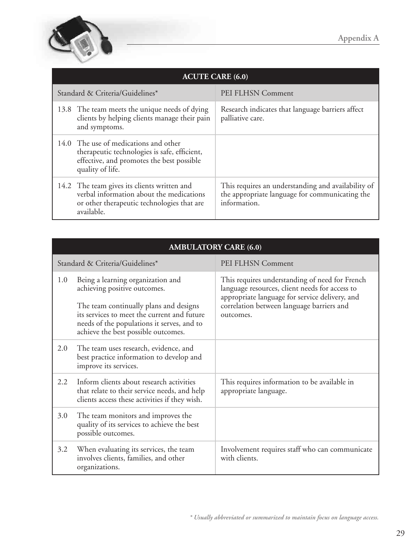

| <b>ACUTE CARE (6.0)</b>                                                                                                                                |                                                                                                                      |  |
|--------------------------------------------------------------------------------------------------------------------------------------------------------|----------------------------------------------------------------------------------------------------------------------|--|
| Standard & Criteria/Guidelines*                                                                                                                        | PEI FLHSN Comment                                                                                                    |  |
| 13.8 The team meets the unique needs of dying<br>clients by helping clients manage their pain<br>and symptoms.                                         | Research indicates that language barriers affect<br>palliative care.                                                 |  |
| 14.0 The use of medications and other<br>therapeutic technologies is safe, efficient,<br>effective, and promotes the best possible<br>quality of life. |                                                                                                                      |  |
| 14.2 The team gives its clients written and<br>verbal information about the medications<br>or other therapeutic technologies that are<br>available.    | This requires an understanding and availability of<br>the appropriate language for communicating the<br>information. |  |

| <b>AMBULATORY CARE (6.0)</b>    |                                                                                                                                                                                                                                                 |                                                                                                                                                                                                              |
|---------------------------------|-------------------------------------------------------------------------------------------------------------------------------------------------------------------------------------------------------------------------------------------------|--------------------------------------------------------------------------------------------------------------------------------------------------------------------------------------------------------------|
| Standard & Criteria/Guidelines* |                                                                                                                                                                                                                                                 | PEI FLHSN Comment                                                                                                                                                                                            |
| 1.0                             | Being a learning organization and<br>achieving positive outcomes.<br>The team continually plans and designs<br>its services to meet the current and future<br>needs of the populations it serves, and to<br>achieve the best possible outcomes. | This requires understanding of need for French<br>language resources, client needs for access to<br>appropriate language for service delivery, and<br>correlation between language barriers and<br>outcomes. |
| 2.0                             | The team uses research, evidence, and<br>best practice information to develop and<br>improve its services.                                                                                                                                      |                                                                                                                                                                                                              |
| 2.2                             | Inform clients about research activities<br>that relate to their service needs, and help<br>clients access these activities if they wish.                                                                                                       | This requires information to be available in<br>appropriate language.                                                                                                                                        |
| 3.0                             | The team monitors and improves the<br>quality of its services to achieve the best<br>possible outcomes.                                                                                                                                         |                                                                                                                                                                                                              |
| 3.2                             | When evaluating its services, the team<br>involves clients, families, and other<br>organizations.                                                                                                                                               | Involvement requires staff who can communicate<br>with clients.                                                                                                                                              |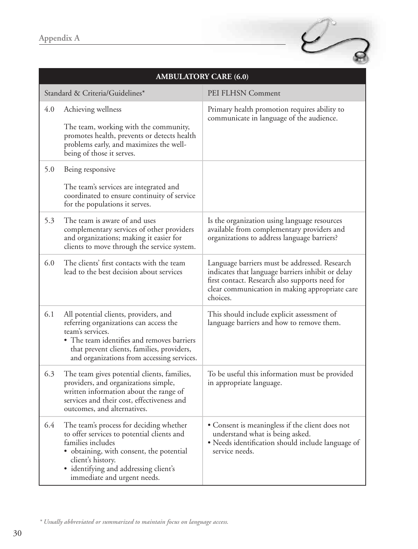

| <b>AMBULATORY CARE (6.0)</b> |                                                                                                                                                                                                                                                     |                                                                                                                                                                                                                    |
|------------------------------|-----------------------------------------------------------------------------------------------------------------------------------------------------------------------------------------------------------------------------------------------------|--------------------------------------------------------------------------------------------------------------------------------------------------------------------------------------------------------------------|
|                              | Standard & Criteria/Guidelines*                                                                                                                                                                                                                     | PEI FLHSN Comment                                                                                                                                                                                                  |
| 4.0                          | Achieving wellness<br>The team, working with the community,<br>promotes health, prevents or detects health<br>problems early, and maximizes the well-<br>being of those it serves.                                                                  | Primary health promotion requires ability to<br>communicate in language of the audience.                                                                                                                           |
| 5.0                          | Being responsive<br>The team's services are integrated and<br>coordinated to ensure continuity of service<br>for the populations it serves.                                                                                                         |                                                                                                                                                                                                                    |
| 5.3                          | The team is aware of and uses<br>complementary services of other providers<br>and organizations; making it easier for<br>clients to move through the service system.                                                                                | Is the organization using language resources<br>available from complementary providers and<br>organizations to address language barriers?                                                                          |
| 6.0                          | The clients' first contacts with the team<br>lead to the best decision about services                                                                                                                                                               | Language barriers must be addressed. Research<br>indicates that language barriers inhibit or delay<br>first contact. Research also supports need for<br>clear communication in making appropriate care<br>choices. |
| 6.1                          | All potential clients, providers, and<br>referring organizations can access the<br>team's services.<br>• The team identifies and removes barriers<br>that prevent clients, families, providers,<br>and organizations from accessing services.       | This should include explicit assessment of<br>language barriers and how to remove them.                                                                                                                            |
| 6.3                          | The team gives potential clients, families,<br>providers, and organizations simple,<br>written information about the range of<br>services and their cost, effectiveness and<br>outcomes, and alternatives.                                          | To be useful this information must be provided<br>in appropriate language.                                                                                                                                         |
| 6.4                          | The team's process for deciding whether<br>to offer services to potential clients and<br>families includes<br>• obtaining, with consent, the potential<br>client's history.<br>· identifying and addressing client's<br>immediate and urgent needs. | • Consent is meaningless if the client does not<br>understand what is being asked.<br>• Needs identification should include language of<br>service needs.                                                          |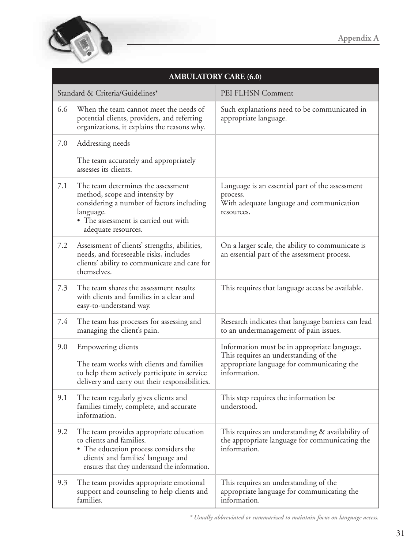

| <b>AMBULATORY CARE (6.0)</b> |                                                                                                                                                                                                      |                                                                                                                                                     |
|------------------------------|------------------------------------------------------------------------------------------------------------------------------------------------------------------------------------------------------|-----------------------------------------------------------------------------------------------------------------------------------------------------|
|                              | Standard & Criteria/Guidelines*                                                                                                                                                                      | PEI FLHSN Comment                                                                                                                                   |
| 6.6                          | When the team cannot meet the needs of<br>potential clients, providers, and referring<br>organizations, it explains the reasons why.                                                                 | Such explanations need to be communicated in<br>appropriate language.                                                                               |
| 7.0                          | Addressing needs                                                                                                                                                                                     |                                                                                                                                                     |
|                              | The team accurately and appropriately<br>assesses its clients.                                                                                                                                       |                                                                                                                                                     |
| 7.1                          | The team determines the assessment<br>method, scope and intensity by<br>considering a number of factors including<br>language.<br>• The assessment is carried out with<br>adequate resources.        | Language is an essential part of the assessment<br>process.<br>With adequate language and communication<br>resources.                               |
| 7.2                          | Assessment of clients' strengths, abilities,<br>needs, and foreseeable risks, includes<br>clients' ability to communicate and care for<br>themselves.                                                | On a larger scale, the ability to communicate is<br>an essential part of the assessment process.                                                    |
| 7.3                          | The team shares the assessment results<br>with clients and families in a clear and<br>easy-to-understand way.                                                                                        | This requires that language access be available.                                                                                                    |
| 7.4                          | The team has processes for assessing and<br>managing the client's pain.                                                                                                                              | Research indicates that language barriers can lead<br>to an undermanagement of pain issues.                                                         |
| 9.0                          | Empowering clients<br>The team works with clients and families<br>to help them actively participate in service<br>delivery and carry out their responsibilities.                                     | Information must be in appropriate language.<br>This requires an understanding of the<br>appropriate language for communicating the<br>information. |
| 9.1                          | The team regularly gives clients and<br>families timely, complete, and accurate<br>information.                                                                                                      | This step requires the information be<br>understood.                                                                                                |
| 9.2                          | The team provides appropriate education<br>to clients and families.<br>• The education process considers the<br>clients' and families' language and<br>ensures that they understand the information. | This requires an understanding & availability of<br>the appropriate language for communicating the<br>information.                                  |
| 9.3                          | The team provides appropriate emotional<br>support and counseling to help clients and<br>families.                                                                                                   | This requires an understanding of the<br>appropriate language for communicating the<br>information.                                                 |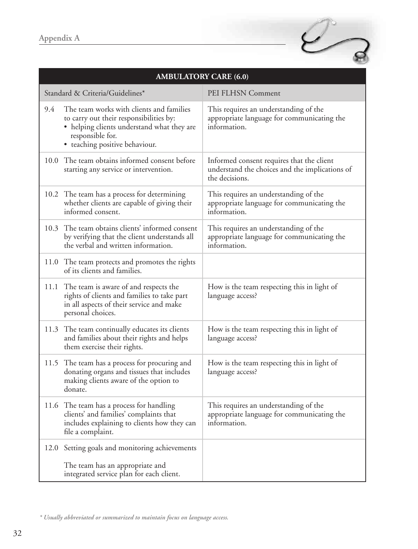

| <b>AMBULATORY CARE (6.0)</b> |                                                                                                                                                                                         |                                                                                                               |
|------------------------------|-----------------------------------------------------------------------------------------------------------------------------------------------------------------------------------------|---------------------------------------------------------------------------------------------------------------|
|                              | Standard & Criteria/Guidelines*                                                                                                                                                         | PEI FLHSN Comment                                                                                             |
| 9.4                          | The team works with clients and families<br>to carry out their responsibilities by:<br>• helping clients understand what they are<br>responsible for.<br>• teaching positive behaviour. | This requires an understanding of the<br>appropriate language for communicating the<br>information.           |
| 10.0                         | The team obtains informed consent before<br>starting any service or intervention.                                                                                                       | Informed consent requires that the client<br>understand the choices and the implications of<br>the decisions. |
|                              | 10.2 The team has a process for determining<br>whether clients are capable of giving their<br>informed consent.                                                                         | This requires an understanding of the<br>appropriate language for communicating the<br>information.           |
|                              | 10.3 The team obtains clients' informed consent<br>by verifying that the client understands all<br>the verbal and written information.                                                  | This requires an understanding of the<br>appropriate language for communicating the<br>information.           |
|                              | 11.0 The team protects and promotes the rights<br>of its clients and families.                                                                                                          |                                                                                                               |
|                              | 11.1 The team is aware of and respects the<br>rights of clients and families to take part<br>in all aspects of their service and make<br>personal choices.                              | How is the team respecting this in light of<br>language access?                                               |
| 11.3                         | The team continually educates its clients<br>and families about their rights and helps<br>them exercise their rights.                                                                   | How is the team respecting this in light of<br>language access?                                               |
|                              | 11.5 The team has a process for procuring and<br>donating organs and tissues that includes<br>making clients aware of the option to<br>donate.                                          | How is the team respecting this in light of<br>language access?                                               |
|                              | 11.6 The team has a process for handling<br>clients' and families' complaints that<br>includes explaining to clients how they can<br>file a complaint.                                  | This requires an understanding of the<br>appropriate language for communicating the<br>information.           |
| 12.0                         | Setting goals and monitoring achievements<br>The team has an appropriate and<br>integrated service plan for each client.                                                                |                                                                                                               |

*<sup>\*</sup> Usually abbreviated or summarized to maintain focus on language access.*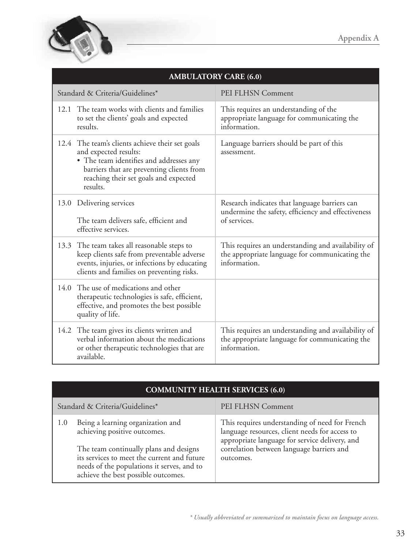

| <b>AMBULATORY CARE (6.0)</b>                                                                                                                                                                                          |                                                                                                                      |  |
|-----------------------------------------------------------------------------------------------------------------------------------------------------------------------------------------------------------------------|----------------------------------------------------------------------------------------------------------------------|--|
| Standard & Criteria/Guidelines*                                                                                                                                                                                       | PEI FLHSN Comment                                                                                                    |  |
| 12.1 The team works with clients and families<br>to set the clients' goals and expected<br>results.                                                                                                                   | This requires an understanding of the<br>appropriate language for communicating the<br>information.                  |  |
| 12.4 The team's clients achieve their set goals<br>and expected results:<br>• The team identifies and addresses any<br>barriers that are preventing clients from<br>reaching their set goals and expected<br>results. | Language barriers should be part of this<br>assessment.                                                              |  |
| 13.0 Delivering services<br>The team delivers safe, efficient and<br>effective services.                                                                                                                              | Research indicates that language barriers can<br>undermine the safety, efficiency and effectiveness<br>of services.  |  |
| 13.3 The team takes all reasonable steps to<br>keep clients safe from preventable adverse<br>events, injuries, or infections by educating<br>clients and families on preventing risks.                                | This requires an understanding and availability of<br>the appropriate language for communicating the<br>information. |  |
| 14.0 The use of medications and other<br>therapeutic technologies is safe, efficient,<br>effective, and promotes the best possible<br>quality of life.                                                                |                                                                                                                      |  |
| 14.2 The team gives its clients written and<br>verbal information about the medications<br>or other therapeutic technologies that are<br>available.                                                                   | This requires an understanding and availability of<br>the appropriate language for communicating the<br>information. |  |

| <b>COMMUNITY HEALTH SERVICES (6.0)</b> |                                                                                                                                                                                                                                                 |                                                                                                                                                                                                              |
|----------------------------------------|-------------------------------------------------------------------------------------------------------------------------------------------------------------------------------------------------------------------------------------------------|--------------------------------------------------------------------------------------------------------------------------------------------------------------------------------------------------------------|
| Standard & Criteria/Guidelines*        |                                                                                                                                                                                                                                                 | PEI FLHSN Comment                                                                                                                                                                                            |
| 1.0                                    | Being a learning organization and<br>achieving positive outcomes.<br>The team continually plans and designs<br>its services to meet the current and future<br>needs of the populations it serves, and to<br>achieve the best possible outcomes. | This requires understanding of need for French<br>language resources, client needs for access to<br>appropriate language for service delivery, and<br>correlation between language barriers and<br>outcomes. |

### **AMBULATORY CARE (6.0)**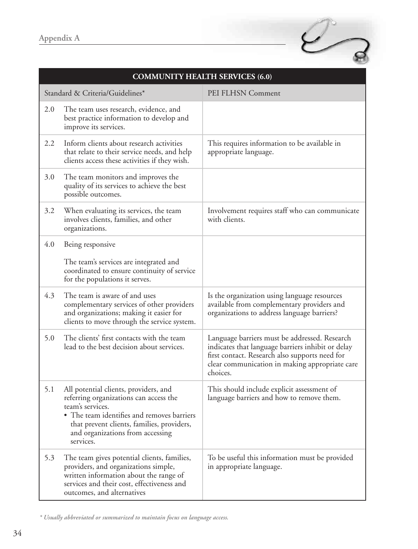

| <b>COMMUNITY HEALTH SERVICES (6.0)</b> |                                                                                                                                                                                                                                                  |                                                                                                                                                                                                                    |
|----------------------------------------|--------------------------------------------------------------------------------------------------------------------------------------------------------------------------------------------------------------------------------------------------|--------------------------------------------------------------------------------------------------------------------------------------------------------------------------------------------------------------------|
| Standard & Criteria/Guidelines*        |                                                                                                                                                                                                                                                  | PEI FLHSN Comment                                                                                                                                                                                                  |
| 2.0                                    | The team uses research, evidence, and<br>best practice information to develop and<br>improve its services.                                                                                                                                       |                                                                                                                                                                                                                    |
| 2.2                                    | Inform clients about research activities<br>that relate to their service needs, and help<br>clients access these activities if they wish.                                                                                                        | This requires information to be available in<br>appropriate language.                                                                                                                                              |
| 3.0                                    | The team monitors and improves the<br>quality of its services to achieve the best<br>possible outcomes.                                                                                                                                          |                                                                                                                                                                                                                    |
| 3.2                                    | When evaluating its services, the team<br>involves clients, families, and other<br>organizations.                                                                                                                                                | Involvement requires staff who can communicate<br>with clients.                                                                                                                                                    |
| 4.0                                    | Being responsive<br>The team's services are integrated and<br>coordinated to ensure continuity of service<br>for the populations it serves.                                                                                                      |                                                                                                                                                                                                                    |
| 4.3                                    | The team is aware of and uses<br>complementary services of other providers<br>and organizations; making it easier for<br>clients to move through the service system.                                                                             | Is the organization using language resources<br>available from complementary providers and<br>organizations to address language barriers?                                                                          |
| 5.0                                    | The clients' first contacts with the team<br>lead to the best decision about services.                                                                                                                                                           | Language barriers must be addressed. Research<br>indicates that language barriers inhibit or delay<br>first contact. Research also supports need for<br>clear communication in making appropriate care<br>choices. |
| 5.1                                    | All potential clients, providers, and<br>referring organizations can access the<br>team's services.<br>• The team identifies and removes barriers<br>that prevent clients, families, providers,<br>and organizations from accessing<br>services. | This should include explicit assessment of<br>language barriers and how to remove them.                                                                                                                            |
| 5.3                                    | The team gives potential clients, families,<br>providers, and organizations simple,<br>written information about the range of<br>services and their cost, effectiveness and<br>outcomes, and alternatives                                        | To be useful this information must be provided<br>in appropriate language.                                                                                                                                         |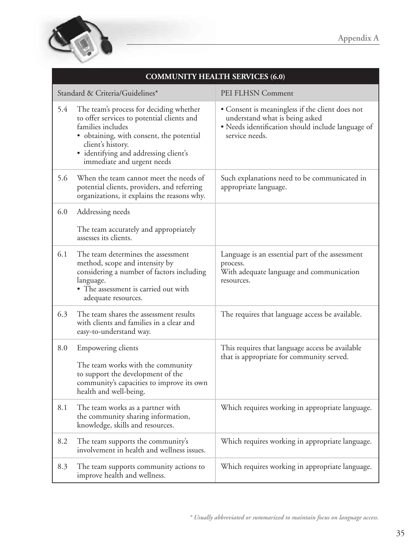

| <b>COMMUNITY HEALTH SERVICES (6.0)</b> |                                                                                                                                                                                                                                                    |                                                                                                                                                          |
|----------------------------------------|----------------------------------------------------------------------------------------------------------------------------------------------------------------------------------------------------------------------------------------------------|----------------------------------------------------------------------------------------------------------------------------------------------------------|
| Standard & Criteria/Guidelines*        |                                                                                                                                                                                                                                                    | PEI FLHSN Comment                                                                                                                                        |
| 5.4                                    | The team's process for deciding whether<br>to offer services to potential clients and<br>families includes<br>• obtaining, with consent, the potential<br>client's history.<br>· identifying and addressing client's<br>immediate and urgent needs | • Consent is meaningless if the client does not<br>understand what is being asked<br>• Needs identification should include language of<br>service needs. |
| 5.6                                    | When the team cannot meet the needs of<br>potential clients, providers, and referring<br>organizations, it explains the reasons why.                                                                                                               | Such explanations need to be communicated in<br>appropriate language.                                                                                    |
| 6.0                                    | Addressing needs<br>The team accurately and appropriately<br>assesses its clients.                                                                                                                                                                 |                                                                                                                                                          |
| 6.1                                    | The team determines the assessment<br>method, scope and intensity by<br>considering a number of factors including<br>language.<br>• The assessment is carried out with<br>adequate resources.                                                      | Language is an essential part of the assessment<br>process.<br>With adequate language and communication<br>resources.                                    |
| 6.3                                    | The team shares the assessment results<br>with clients and families in a clear and<br>easy-to-understand way.                                                                                                                                      | The requires that language access be available.                                                                                                          |
| 8.0                                    | Empowering clients<br>The team works with the community<br>to support the development of the<br>community's capacities to improve its own<br>health and well-being.                                                                                | This requires that language access be available<br>that is appropriate for community served.                                                             |
| 8.1                                    | The team works as a partner with<br>the community sharing information,<br>knowledge, skills and resources.                                                                                                                                         | Which requires working in appropriate language.                                                                                                          |
| 8.2                                    | The team supports the community's<br>involvement in health and wellness issues.                                                                                                                                                                    | Which requires working in appropriate language.                                                                                                          |
| 8.3                                    | The team supports community actions to<br>improve health and wellness.                                                                                                                                                                             | Which requires working in appropriate language.                                                                                                          |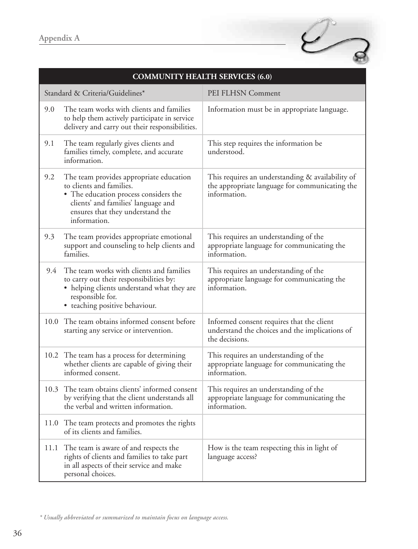

| <b>COMMUNITY HEALTH SERVICES (6.0)</b> |                                                                                                                                                                                                         |                                                                                                                    |
|----------------------------------------|---------------------------------------------------------------------------------------------------------------------------------------------------------------------------------------------------------|--------------------------------------------------------------------------------------------------------------------|
|                                        | Standard & Criteria/Guidelines*                                                                                                                                                                         | PEI FLHSN Comment                                                                                                  |
| 9.0                                    | The team works with clients and families<br>to help them actively participate in service<br>delivery and carry out their responsibilities.                                                              | Information must be in appropriate language.                                                                       |
| 9.1                                    | The team regularly gives clients and<br>families timely, complete, and accurate<br>information.                                                                                                         | This step requires the information be<br>understood.                                                               |
| 9.2                                    | The team provides appropriate education<br>to clients and families.<br>• The education process considers the<br>clients' and families' language and<br>ensures that they understand the<br>information. | This requires an understanding & availability of<br>the appropriate language for communicating the<br>information. |
| 9.3                                    | The team provides appropriate emotional<br>support and counseling to help clients and<br>families.                                                                                                      | This requires an understanding of the<br>appropriate language for communicating the<br>information.                |
| 9.4                                    | The team works with clients and families<br>to carry out their responsibilities by:<br>• helping clients understand what they are<br>responsible for.<br>• teaching positive behaviour.                 | This requires an understanding of the<br>appropriate language for communicating the<br>information.                |
| 10.0                                   | The team obtains informed consent before<br>starting any service or intervention.                                                                                                                       | Informed consent requires that the client<br>understand the choices and the implications of<br>the decisions.      |
|                                        | 10.2 The team has a process for determining<br>whether clients are capable of giving their<br>informed consent.                                                                                         | This requires an understanding of the<br>appropriate language for communicating the<br>information.                |
|                                        | 10.3 The team obtains clients' informed consent<br>by verifying that the client understands all<br>the verbal and written information.                                                                  | This requires an understanding of the<br>appropriate language for communicating the<br>information.                |
|                                        | 11.0 The team protects and promotes the rights<br>of its clients and families.                                                                                                                          |                                                                                                                    |
|                                        | 11.1 The team is aware of and respects the<br>rights of clients and families to take part<br>in all aspects of their service and make<br>personal choices.                                              | How is the team respecting this in light of<br>language access?                                                    |

*<sup>\*</sup> Usually abbreviated or summarized to maintain focus on language access.*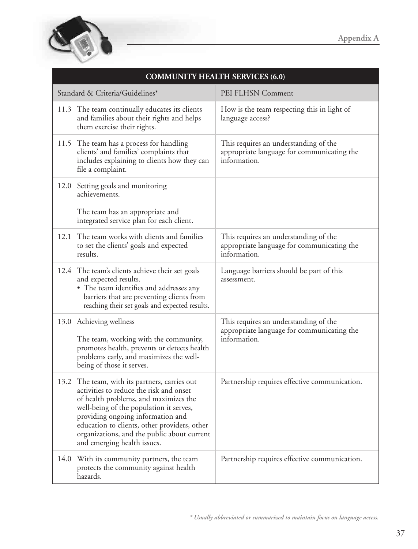

| <b>COMMUNITY HEALTH SERVICES (6.0)</b> |                                                                                                                                                                                                                                                                                                                                                 |                                                                                                     |
|----------------------------------------|-------------------------------------------------------------------------------------------------------------------------------------------------------------------------------------------------------------------------------------------------------------------------------------------------------------------------------------------------|-----------------------------------------------------------------------------------------------------|
|                                        | Standard & Criteria/Guidelines*                                                                                                                                                                                                                                                                                                                 | PEI FLHSN Comment                                                                                   |
|                                        | 11.3 The team continually educates its clients<br>and families about their rights and helps<br>them exercise their rights.                                                                                                                                                                                                                      | How is the team respecting this in light of<br>language access?                                     |
|                                        | 11.5 The team has a process for handling<br>clients' and families' complaints that<br>includes explaining to clients how they can<br>file a complaint.                                                                                                                                                                                          | This requires an understanding of the<br>appropriate language for communicating the<br>information. |
|                                        | 12.0 Setting goals and monitoring<br>achievements.<br>The team has an appropriate and<br>integrated service plan for each client.                                                                                                                                                                                                               |                                                                                                     |
| 12.1                                   | The team works with clients and families<br>to set the clients' goals and expected<br>results.                                                                                                                                                                                                                                                  | This requires an understanding of the<br>appropriate language for communicating the<br>information. |
|                                        | 12.4 The team's clients achieve their set goals<br>and expected results.<br>• The team identifies and addresses any<br>barriers that are preventing clients from<br>reaching their set goals and expected results.                                                                                                                              | Language barriers should be part of this<br>assessment.                                             |
|                                        | 13.0 Achieving wellness<br>The team, working with the community,<br>promotes health, prevents or detects health<br>problems early, and maximizes the well-<br>being of those it serves.                                                                                                                                                         | This requires an understanding of the<br>appropriate language for communicating the<br>information. |
|                                        | 13.2 The team, with its partners, carries out<br>activities to reduce the risk and onset<br>of health problems, and maximizes the<br>well-being of the population it serves,<br>providing ongoing information and<br>education to clients, other providers, other<br>organizations, and the public about current<br>and emerging health issues. | Partnership requires effective communication.                                                       |
|                                        | 14.0 With its community partners, the team<br>protects the community against health<br>hazards.                                                                                                                                                                                                                                                 | Partnership requires effective communication.                                                       |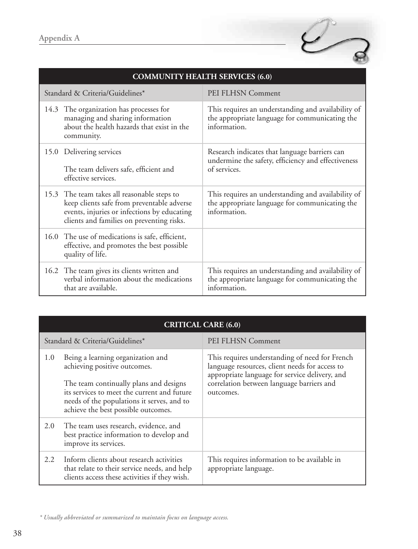

| <b>COMMUNITY HEALTH SERVICES (6.0)</b>                                                                                                                                                |                                                                                                                      |  |
|---------------------------------------------------------------------------------------------------------------------------------------------------------------------------------------|----------------------------------------------------------------------------------------------------------------------|--|
| Standard & Criteria/Guidelines*                                                                                                                                                       | PEI FLHSN Comment                                                                                                    |  |
| 14.3 The organization has processes for<br>managing and sharing information<br>about the health hazards that exist in the<br>community.                                               | This requires an understanding and availability of<br>the appropriate language for communicating the<br>information  |  |
| 15.0 Delivering services<br>The team delivers safe, efficient and<br>effective services.                                                                                              | Research indicates that language barriers can<br>undermine the safety, efficiency and effectiveness<br>of services.  |  |
| 15.3 The team takes all reasonable steps to<br>keep clients safe from preventable adverse<br>events, injuries or infections by educating<br>clients and families on preventing risks. | This requires an understanding and availability of<br>the appropriate language for communicating the<br>information. |  |
| 16.0 The use of medications is safe, efficient,<br>effective, and promotes the best possible<br>quality of life.                                                                      |                                                                                                                      |  |
| 16.2 The team gives its clients written and<br>verbal information about the medications<br>that are available.                                                                        | This requires an understanding and availability of<br>the appropriate language for communicating the<br>information. |  |

|     | <b>CRITICAL CARE (6.0)</b>                                                                                                                                                                                                                      |                                                                                                                                                                                                              |
|-----|-------------------------------------------------------------------------------------------------------------------------------------------------------------------------------------------------------------------------------------------------|--------------------------------------------------------------------------------------------------------------------------------------------------------------------------------------------------------------|
|     | Standard & Criteria/Guidelines*                                                                                                                                                                                                                 | PEI FLHSN Comment                                                                                                                                                                                            |
| 1.0 | Being a learning organization and<br>achieving positive outcomes.<br>The team continually plans and designs<br>its services to meet the current and future<br>needs of the populations it serves, and to<br>achieve the best possible outcomes. | This requires understanding of need for French<br>language resources, client needs for access to<br>appropriate language for service delivery, and<br>correlation between language barriers and<br>outcomes. |
| 2.0 | The team uses research, evidence, and<br>best practice information to develop and<br>improve its services.                                                                                                                                      |                                                                                                                                                                                                              |
| 2.2 | Inform clients about research activities<br>that relate to their service needs, and help<br>clients access these activities if they wish.                                                                                                       | This requires information to be available in<br>appropriate language.                                                                                                                                        |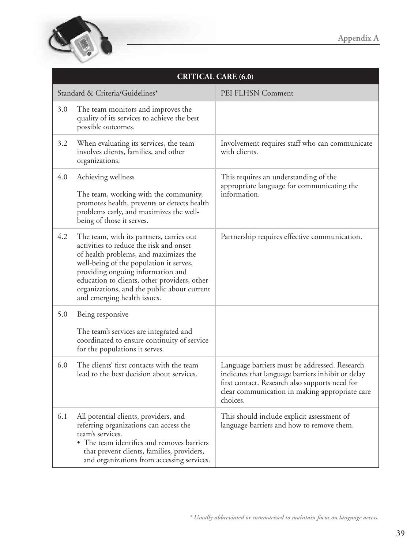

| <b>CRITICAL CARE (6.0)</b> |                                                                                                                                                                                                                                                                                                                                            |                                                                                                                                                                                                                    |
|----------------------------|--------------------------------------------------------------------------------------------------------------------------------------------------------------------------------------------------------------------------------------------------------------------------------------------------------------------------------------------|--------------------------------------------------------------------------------------------------------------------------------------------------------------------------------------------------------------------|
|                            | Standard & Criteria/Guidelines*                                                                                                                                                                                                                                                                                                            | PEI FLHSN Comment                                                                                                                                                                                                  |
| 3.0                        | The team monitors and improves the<br>quality of its services to achieve the best<br>possible outcomes.                                                                                                                                                                                                                                    |                                                                                                                                                                                                                    |
| 3.2                        | When evaluating its services, the team<br>involves clients, families, and other<br>organizations.                                                                                                                                                                                                                                          | Involvement requires staff who can communicate<br>with clients.                                                                                                                                                    |
| 4.0                        | Achieving wellness<br>The team, working with the community,<br>promotes health, prevents or detects health<br>problems early, and maximizes the well-<br>being of those it serves.                                                                                                                                                         | This requires an understanding of the<br>appropriate language for communicating the<br>information.                                                                                                                |
| 4.2                        | The team, with its partners, carries out<br>activities to reduce the risk and onset<br>of health problems, and maximizes the<br>well-being of the population it serves,<br>providing ongoing information and<br>education to clients, other providers, other<br>organizations, and the public about current<br>and emerging health issues. | Partnership requires effective communication.                                                                                                                                                                      |
| 5.0                        | Being responsive<br>The team's services are integrated and<br>coordinated to ensure continuity of service<br>for the populations it serves.                                                                                                                                                                                                |                                                                                                                                                                                                                    |
| 6.0                        | The clients' first contacts with the team<br>lead to the best decision about services.                                                                                                                                                                                                                                                     | Language barriers must be addressed. Research<br>indicates that language barriers inhibit or delay<br>first contact. Research also supports need for<br>clear communication in making appropriate care<br>choices. |
| 6.1                        | All potential clients, providers, and<br>referring organizations can access the<br>team's services.<br>• The team identifies and removes barriers<br>that prevent clients, families, providers,<br>and organizations from accessing services.                                                                                              | This should include explicit assessment of<br>language barriers and how to remove them.                                                                                                                            |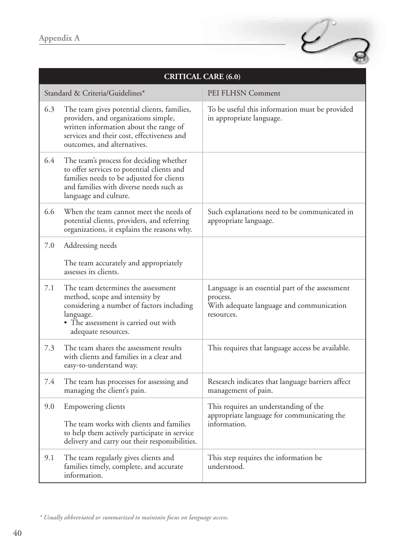

| <b>CRITICAL CARE (6.0)</b> |                                                                                                                                                                                                            |                                                                                                                       |
|----------------------------|------------------------------------------------------------------------------------------------------------------------------------------------------------------------------------------------------------|-----------------------------------------------------------------------------------------------------------------------|
|                            | Standard & Criteria/Guidelines*                                                                                                                                                                            | PEI FLHSN Comment                                                                                                     |
| 6.3                        | The team gives potential clients, families,<br>providers, and organizations simple,<br>written information about the range of<br>services and their cost, effectiveness and<br>outcomes, and alternatives. | To be useful this information must be provided<br>in appropriate language.                                            |
| 6.4                        | The team's process for deciding whether<br>to offer services to potential clients and<br>families needs to be adjusted for clients<br>and families with diverse needs such as<br>language and culture.     |                                                                                                                       |
| 6.6                        | When the team cannot meet the needs of<br>potential clients, providers, and referring<br>organizations, it explains the reasons why.                                                                       | Such explanations need to be communicated in<br>appropriate language.                                                 |
| 7.0                        | Addressing needs                                                                                                                                                                                           |                                                                                                                       |
|                            | The team accurately and appropriately<br>assesses its clients.                                                                                                                                             |                                                                                                                       |
| 7.1                        | The team determines the assessment<br>method, scope and intensity by<br>considering a number of factors including<br>language.<br>• The assessment is carried out with<br>adequate resources.              | Language is an essential part of the assessment<br>process.<br>With adequate language and communication<br>resources. |
| 7.3                        | The team shares the assessment results<br>with clients and families in a clear and<br>easy-to-understand way.                                                                                              | This requires that language access be available.                                                                      |
| 7.4                        | The team has processes for assessing and<br>managing the client's pain.                                                                                                                                    | Research indicates that language barriers affect<br>management of pain.                                               |
| 9.0                        | <b>Empowering clients</b>                                                                                                                                                                                  | This requires an understanding of the<br>appropriate language for communicating the                                   |
|                            | The team works with clients and families<br>to help them actively participate in service<br>delivery and carry out their responsibilities.                                                                 | information.                                                                                                          |
| 9.1                        | The team regularly gives clients and<br>families timely, complete, and accurate<br>information.                                                                                                            | This step requires the information be<br>understood.                                                                  |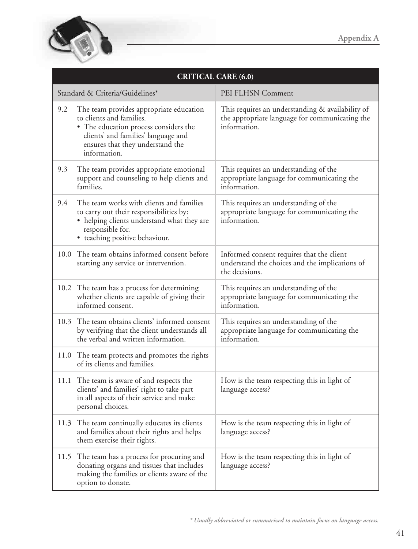

| <b>CRITICAL CARE (6.0)</b> |                                                                                                                                                                                                         |                                                                                                                    |
|----------------------------|---------------------------------------------------------------------------------------------------------------------------------------------------------------------------------------------------------|--------------------------------------------------------------------------------------------------------------------|
|                            | Standard & Criteria/Guidelines*                                                                                                                                                                         | PEI FLHSN Comment                                                                                                  |
| 9.2                        | The team provides appropriate education<br>to clients and families.<br>• The education process considers the<br>clients' and families' language and<br>ensures that they understand the<br>information. | This requires an understanding & availability of<br>the appropriate language for communicating the<br>information. |
| 9.3                        | The team provides appropriate emotional<br>support and counseling to help clients and<br>families.                                                                                                      | This requires an understanding of the<br>appropriate language for communicating the<br>information.                |
| 9.4                        | The team works with clients and families<br>to carry out their responsibilities by:<br>• helping clients understand what they are<br>responsible for.<br>• teaching positive behaviour.                 | This requires an understanding of the<br>appropriate language for communicating the<br>information.                |
| 10.0                       | The team obtains informed consent before<br>starting any service or intervention.                                                                                                                       | Informed consent requires that the client<br>understand the choices and the implications of<br>the decisions.      |
|                            | 10.2 The team has a process for determining<br>whether clients are capable of giving their<br>informed consent.                                                                                         | This requires an understanding of the<br>appropriate language for communicating the<br>information.                |
| 10.3                       | The team obtains clients' informed consent<br>by verifying that the client understands all<br>the verbal and written information.                                                                       | This requires an understanding of the<br>appropriate language for communicating the<br>information.                |
|                            | 11.0 The team protects and promotes the rights<br>of its clients and families.                                                                                                                          |                                                                                                                    |
| 11.1                       | The team is aware of and respects the<br>clients' and families' right to take part<br>in all aspects of their service and make<br>personal choices.                                                     | How is the team respecting this in light of<br>language access?                                                    |
| 11.3                       | The team continually educates its clients<br>and families about their rights and helps<br>them exercise their rights.                                                                                   | How is the team respecting this in light of<br>language access?                                                    |
|                            | 11.5 The team has a process for procuring and<br>donating organs and tissues that includes<br>making the families or clients aware of the<br>option to donate.                                          | How is the team respecting this in light of<br>language access?                                                    |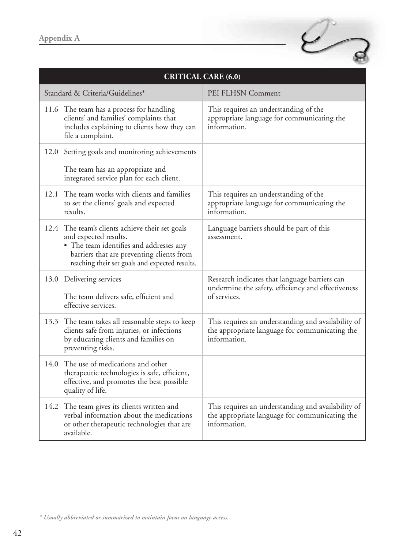

|      | <b>CRITICAL CARE (6.0)</b>                                                                                                                                                                                         |                                                                                                                      |  |
|------|--------------------------------------------------------------------------------------------------------------------------------------------------------------------------------------------------------------------|----------------------------------------------------------------------------------------------------------------------|--|
|      | Standard & Criteria/Guidelines*                                                                                                                                                                                    | PEI FLHSN Comment                                                                                                    |  |
|      | 11.6 The team has a process for handling<br>clients' and families' complaints that<br>includes explaining to clients how they can<br>file a complaint.                                                             | This requires an understanding of the<br>appropriate language for communicating the<br>information.                  |  |
|      | 12.0 Setting goals and monitoring achievements                                                                                                                                                                     |                                                                                                                      |  |
|      | The team has an appropriate and<br>integrated service plan for each client.                                                                                                                                        |                                                                                                                      |  |
| 12.1 | The team works with clients and families<br>to set the clients' goals and expected<br>results.                                                                                                                     | This requires an understanding of the<br>appropriate language for communicating the<br>information.                  |  |
|      | 12.4 The team's clients achieve their set goals<br>and expected results.<br>• The team identifies and addresses any<br>barriers that are preventing clients from<br>reaching their set goals and expected results. | Language barriers should be part of this<br>assessment.                                                              |  |
|      | 13.0 Delivering services<br>The team delivers safe, efficient and<br>effective services.                                                                                                                           | Research indicates that language barriers can<br>undermine the safety, efficiency and effectiveness<br>of services.  |  |
|      | 13.3 The team takes all reasonable steps to keep<br>clients safe from injuries, or infections<br>by educating clients and families on<br>preventing risks.                                                         | This requires an understanding and availability of<br>the appropriate language for communicating the<br>information. |  |
| 14.0 | The use of medications and other<br>therapeutic technologies is safe, efficient,<br>effective, and promotes the best possible<br>quality of life.                                                                  |                                                                                                                      |  |
|      | 14.2 The team gives its clients written and<br>verbal information about the medications<br>or other therapeutic technologies that are<br>available.                                                                | This requires an understanding and availability of<br>the appropriate language for communicating the<br>information. |  |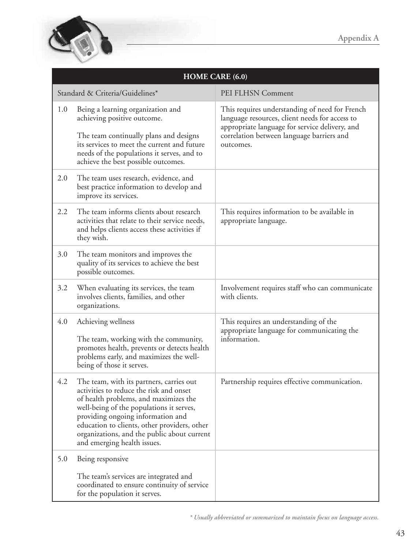

| HOME CARE (6.0) |                                                                                                                                                                                                                                                                                                                                             |                                                                                                                                                                                                              |
|-----------------|---------------------------------------------------------------------------------------------------------------------------------------------------------------------------------------------------------------------------------------------------------------------------------------------------------------------------------------------|--------------------------------------------------------------------------------------------------------------------------------------------------------------------------------------------------------------|
|                 | Standard & Criteria/Guidelines*                                                                                                                                                                                                                                                                                                             | PEI FLHSN Comment                                                                                                                                                                                            |
| 1.0             | Being a learning organization and<br>achieving positive outcome.<br>The team continually plans and designs<br>its services to meet the current and future<br>needs of the populations it serves, and to                                                                                                                                     | This requires understanding of need for French<br>language resources, client needs for access to<br>appropriate language for service delivery, and<br>correlation between language barriers and<br>outcomes. |
| 2.0             | achieve the best possible outcomes.<br>The team uses research, evidence, and<br>best practice information to develop and<br>improve its services.                                                                                                                                                                                           |                                                                                                                                                                                                              |
| 2.2             | The team informs clients about research<br>activities that relate to their service needs,<br>and helps clients access these activities if<br>they wish.                                                                                                                                                                                     | This requires information to be available in<br>appropriate language.                                                                                                                                        |
| 3.0             | The team monitors and improves the<br>quality of its services to achieve the best<br>possible outcomes.                                                                                                                                                                                                                                     |                                                                                                                                                                                                              |
| 3.2             | When evaluating its services, the team<br>involves clients, families, and other<br>organizations.                                                                                                                                                                                                                                           | Involvement requires staff who can communicate<br>with clients.                                                                                                                                              |
| 4.0             | Achieving wellness<br>The team, working with the community,<br>promotes health, prevents or detects health<br>problems early, and maximizes the well-<br>being of those it serves.                                                                                                                                                          | This requires an understanding of the<br>appropriate language for communicating the<br>information.                                                                                                          |
| 4.2             | The team, with its partners, carries out<br>activities to reduce the risk and onset<br>of health problems, and maximizes the<br>well-being of the populations it serves,<br>providing ongoing information and<br>education to clients, other providers, other<br>organizations, and the public about current<br>and emerging health issues. | Partnership requires effective communication.                                                                                                                                                                |
| 5.0             | Being responsive                                                                                                                                                                                                                                                                                                                            |                                                                                                                                                                                                              |
|                 | The team's services are integrated and<br>coordinated to ensure continuity of service<br>for the population it serves.                                                                                                                                                                                                                      |                                                                                                                                                                                                              |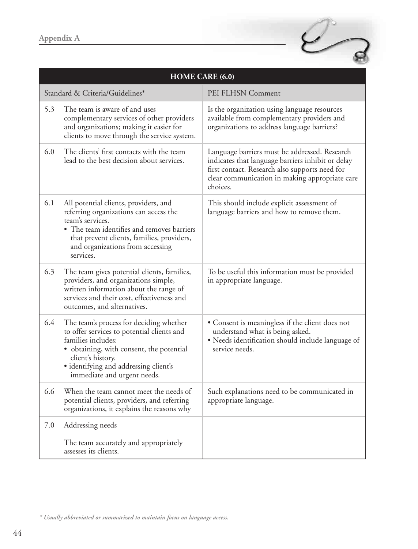

|     | HOME CARE (6.0)                                                                                                                                                                                                                                      |                                                                                                                                                                                                                    |  |
|-----|------------------------------------------------------------------------------------------------------------------------------------------------------------------------------------------------------------------------------------------------------|--------------------------------------------------------------------------------------------------------------------------------------------------------------------------------------------------------------------|--|
|     | Standard & Criteria/Guidelines*                                                                                                                                                                                                                      | PEI FLHSN Comment                                                                                                                                                                                                  |  |
| 5.3 | The team is aware of and uses<br>complementary services of other providers<br>and organizations; making it easier for<br>clients to move through the service system.                                                                                 | Is the organization using language resources<br>available from complementary providers and<br>organizations to address language barriers?                                                                          |  |
| 6.0 | The clients' first contacts with the team<br>lead to the best decision about services.                                                                                                                                                               | Language barriers must be addressed. Research<br>indicates that language barriers inhibit or delay<br>first contact. Research also supports need for<br>clear communication in making appropriate care<br>choices. |  |
| 6.1 | All potential clients, providers, and<br>referring organizations can access the<br>team's services.<br>• The team identifies and removes barriers<br>that prevent clients, families, providers,<br>and organizations from accessing<br>services.     | This should include explicit assessment of<br>language barriers and how to remove them.                                                                                                                            |  |
| 6.3 | The team gives potential clients, families,<br>providers, and organizations simple,<br>written information about the range of<br>services and their cost, effectiveness and<br>outcomes, and alternatives.                                           | To be useful this information must be provided<br>in appropriate language.                                                                                                                                         |  |
| 6.4 | The team's process for deciding whether<br>to offer services to potential clients and<br>families includes:<br>· obtaining, with consent, the potential<br>client's history.<br>· identifying and addressing client's<br>immediate and urgent needs. | • Consent is meaningless if the client does not<br>understand what is being asked.<br>· Needs identification should include language of<br>service needs.                                                          |  |
| 6.6 | When the team cannot meet the needs of<br>potential clients, providers, and referring<br>organizations, it explains the reasons why                                                                                                                  | Such explanations need to be communicated in<br>appropriate language.                                                                                                                                              |  |
| 7.0 | Addressing needs<br>The team accurately and appropriately<br>assesses its clients.                                                                                                                                                                   |                                                                                                                                                                                                                    |  |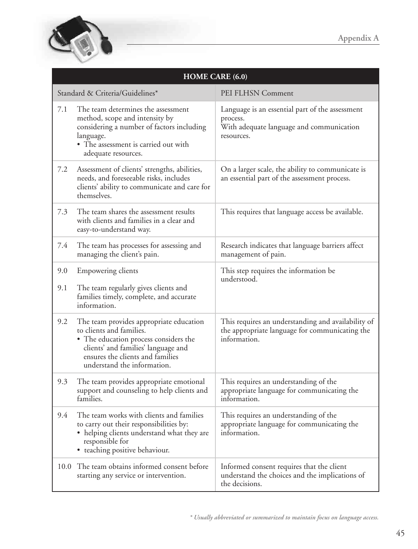

| <b>HOME CARE (6.0)</b> |                                                                                                                                                                                                                        |                                                                                                                       |
|------------------------|------------------------------------------------------------------------------------------------------------------------------------------------------------------------------------------------------------------------|-----------------------------------------------------------------------------------------------------------------------|
|                        | Standard & Criteria/Guidelines*                                                                                                                                                                                        | PEI FLHSN Comment                                                                                                     |
| 7.1                    | The team determines the assessment<br>method, scope and intensity by<br>considering a number of factors including<br>language.<br>• The assessment is carried out with<br>adequate resources.                          | Language is an essential part of the assessment<br>process.<br>With adequate language and communication<br>resources. |
| 7.2                    | Assessment of clients' strengths, abilities,<br>needs, and foreseeable risks, includes<br>clients' ability to communicate and care for<br>themselves.                                                                  | On a larger scale, the ability to communicate is<br>an essential part of the assessment process.                      |
| 7.3                    | The team shares the assessment results<br>with clients and families in a clear and<br>easy-to-understand way.                                                                                                          | This requires that language access be available.                                                                      |
| 7.4                    | The team has processes for assessing and<br>managing the client's pain.                                                                                                                                                | Research indicates that language barriers affect<br>management of pain.                                               |
| 9.0                    | Empowering clients                                                                                                                                                                                                     | This step requires the information be<br>understood.                                                                  |
| 9.1                    | The team regularly gives clients and<br>families timely, complete, and accurate<br>information.                                                                                                                        |                                                                                                                       |
| 9.2                    | The team provides appropriate education<br>to clients and families.<br>• The education process considers the<br>clients' and families' language and<br>ensures the clients and families<br>understand the information. | This requires an understanding and availability of<br>the appropriate language for communicating the<br>information.  |
| 9.3                    | The team provides appropriate emotional<br>support and counseling to help clients and<br>families.                                                                                                                     | This requires an understanding of the<br>appropriate language for communicating the<br>information.                   |
| 9.4                    | The team works with clients and families<br>to carry out their responsibilities by:<br>• helping clients understand what they are<br>responsible for<br>• teaching positive behaviour.                                 | This requires an understanding of the<br>appropriate language for communicating the<br>information.                   |
| 10.0                   | The team obtains informed consent before<br>starting any service or intervention.                                                                                                                                      | Informed consent requires that the client<br>understand the choices and the implications of<br>the decisions.         |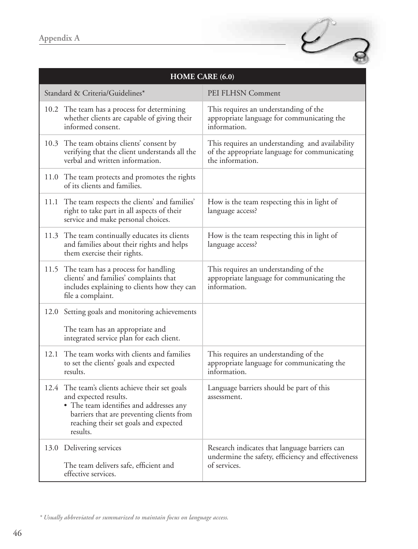

| <b>HOME CARE (6.0)</b>                                                                                                                                                                                                |                                                                                                                      |  |
|-----------------------------------------------------------------------------------------------------------------------------------------------------------------------------------------------------------------------|----------------------------------------------------------------------------------------------------------------------|--|
| Standard & Criteria/Guidelines*                                                                                                                                                                                       | PEI FLHSN Comment                                                                                                    |  |
| 10.2 The team has a process for determining<br>whether clients are capable of giving their<br>informed consent.                                                                                                       | This requires an understanding of the<br>appropriate language for communicating the<br>information.                  |  |
| 10.3 The team obtains clients' consent by<br>verifying that the client understands all the<br>verbal and written information.                                                                                         | This requires an understanding and availability<br>of the appropriate language for communicating<br>the information. |  |
| 11.0 The team protects and promotes the rights<br>of its clients and families.                                                                                                                                        |                                                                                                                      |  |
| 11.1 The team respects the clients' and families'<br>right to take part in all aspects of their<br>service and make personal choices.                                                                                 | How is the team respecting this in light of<br>language access?                                                      |  |
| The team continually educates its clients<br>11.3<br>and families about their rights and helps<br>them exercise their rights.                                                                                         | How is the team respecting this in light of<br>language access?                                                      |  |
| 11.5 The team has a process for handling<br>clients' and families' complaints that<br>includes explaining to clients how they can<br>file a complaint.                                                                | This requires an understanding of the<br>appropriate language for communicating the<br>information.                  |  |
| 12.0 Setting goals and monitoring achievements<br>The team has an appropriate and<br>integrated service plan for each client.                                                                                         |                                                                                                                      |  |
| The team works with clients and families<br>12.1<br>to set the clients' goals and expected<br>results.                                                                                                                | This requires an understanding of the<br>appropriate language for communicating the<br>information.                  |  |
| 12.4 The team's clients achieve their set goals<br>and expected results.<br>• The team identifies and addresses any<br>barriers that are preventing clients from<br>reaching their set goals and expected<br>results. | Language barriers should be part of this<br>assessment.                                                              |  |
| 13.0 Delivering services<br>The team delivers safe, efficient and<br>effective services.                                                                                                                              | Research indicates that language barriers can<br>undermine the safety, efficiency and effectiveness<br>of services.  |  |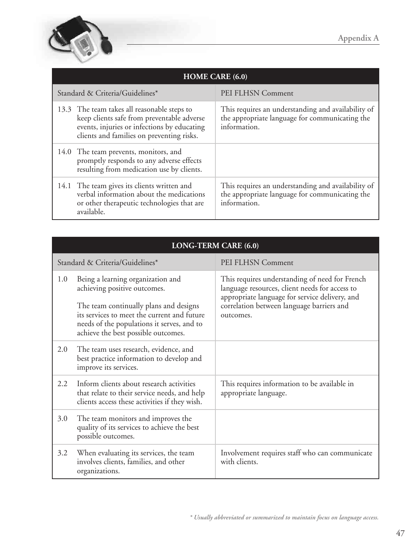

| <b>HOME CARE (6.0)</b>                                                                                                                                                                |                                                                                                                      |  |
|---------------------------------------------------------------------------------------------------------------------------------------------------------------------------------------|----------------------------------------------------------------------------------------------------------------------|--|
| Standard & Criteria/Guidelines*                                                                                                                                                       | PEI FLHSN Comment                                                                                                    |  |
| 13.3 The team takes all reasonable steps to<br>keep clients safe from preventable adverse<br>events, injuries or infections by educating<br>clients and families on preventing risks. | This requires an understanding and availability of<br>the appropriate language for communicating the<br>information. |  |
| 14.0 The team prevents, monitors, and<br>promptly responds to any adverse effects<br>resulting from medication use by clients.                                                        |                                                                                                                      |  |
| 14.1 The team gives its clients written and<br>verbal information about the medications<br>or other therapeutic technologies that are<br>available.                                   | This requires an understanding and availability of<br>the appropriate language for communicating the<br>information. |  |

|         | LONG-TERM CARE (6.0)                                                                                                                                                                                                                            |                                                                                                                                                                                                              |  |
|---------|-------------------------------------------------------------------------------------------------------------------------------------------------------------------------------------------------------------------------------------------------|--------------------------------------------------------------------------------------------------------------------------------------------------------------------------------------------------------------|--|
|         | Standard & Criteria/Guidelines*                                                                                                                                                                                                                 | PEI FLHSN Comment                                                                                                                                                                                            |  |
| 1.0     | Being a learning organization and<br>achieving positive outcomes.<br>The team continually plans and designs<br>its services to meet the current and future<br>needs of the populations it serves, and to<br>achieve the best possible outcomes. | This requires understanding of need for French<br>language resources, client needs for access to<br>appropriate language for service delivery, and<br>correlation between language barriers and<br>outcomes. |  |
| 2.0     | The team uses research, evidence, and<br>best practice information to develop and<br>improve its services.                                                                                                                                      |                                                                                                                                                                                                              |  |
| $2.2\,$ | Inform clients about research activities<br>that relate to their service needs, and help<br>clients access these activities if they wish.                                                                                                       | This requires information to be available in<br>appropriate language.                                                                                                                                        |  |
| 3.0     | The team monitors and improves the<br>quality of its services to achieve the best<br>possible outcomes.                                                                                                                                         |                                                                                                                                                                                                              |  |
| 3.2     | When evaluating its services, the team<br>involves clients, families, and other<br>organizations.                                                                                                                                               | Involvement requires staff who can communicate<br>with clients.                                                                                                                                              |  |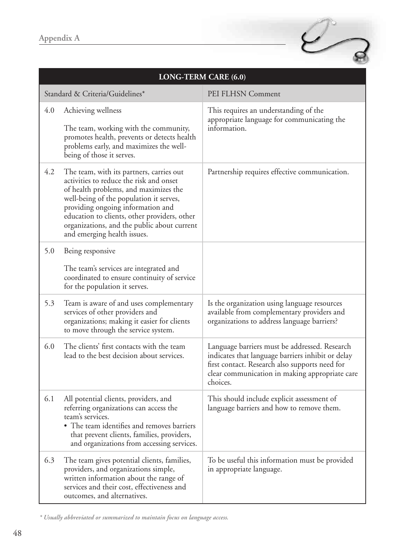

| <b>LONG-TERM CARE (6.0)</b> |                                                                                                                                                                                                                                                                                                                                            |                                                                                                                                                                                                                    |
|-----------------------------|--------------------------------------------------------------------------------------------------------------------------------------------------------------------------------------------------------------------------------------------------------------------------------------------------------------------------------------------|--------------------------------------------------------------------------------------------------------------------------------------------------------------------------------------------------------------------|
|                             | Standard & Criteria/Guidelines*                                                                                                                                                                                                                                                                                                            | PEI FLHSN Comment                                                                                                                                                                                                  |
| 4.0                         | Achieving wellness<br>The team, working with the community,<br>promotes health, prevents or detects health<br>problems early, and maximizes the well-<br>being of those it serves.                                                                                                                                                         | This requires an understanding of the<br>appropriate language for communicating the<br>information.                                                                                                                |
| 4.2                         | The team, with its partners, carries out<br>activities to reduce the risk and onset<br>of health problems, and maximizes the<br>well-being of the population it serves,<br>providing ongoing information and<br>education to clients, other providers, other<br>organizations, and the public about current<br>and emerging health issues. | Partnership requires effective communication.                                                                                                                                                                      |
| 5.0                         | Being responsive<br>The team's services are integrated and<br>coordinated to ensure continuity of service<br>for the population it serves.                                                                                                                                                                                                 |                                                                                                                                                                                                                    |
| 5.3                         | Team is aware of and uses complementary<br>services of other providers and<br>organizations; making it easier for clients<br>to move through the service system.                                                                                                                                                                           | Is the organization using language resources<br>available from complementary providers and<br>organizations to address language barriers?                                                                          |
| 6.0                         | The clients' first contacts with the team<br>lead to the best decision about services.                                                                                                                                                                                                                                                     | Language barriers must be addressed. Research<br>indicates that language barriers inhibit or delay<br>first contact. Research also supports need for<br>clear communication in making appropriate care<br>choices. |
| 6.1                         | All potential clients, providers, and<br>referring organizations can access the<br>team's services.<br>• The team identifies and removes barriers<br>that prevent clients, families, providers,<br>and organizations from accessing services.                                                                                              | This should include explicit assessment of<br>language barriers and how to remove them.                                                                                                                            |
| 6.3                         | The team gives potential clients, families,<br>providers, and organizations simple,<br>written information about the range of<br>services and their cost, effectiveness and<br>outcomes, and alternatives.                                                                                                                                 | To be useful this information must be provided<br>in appropriate language.                                                                                                                                         |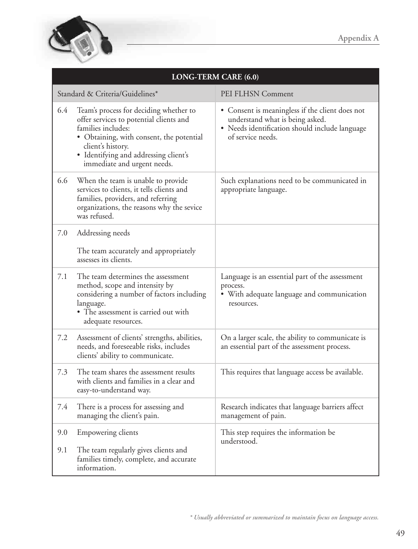

| <b>LONG-TERM CARE (6.0)</b> |                                                                                                                                                                                                                                                  |                                                                                                                                                           |
|-----------------------------|--------------------------------------------------------------------------------------------------------------------------------------------------------------------------------------------------------------------------------------------------|-----------------------------------------------------------------------------------------------------------------------------------------------------------|
|                             | Standard & Criteria/Guidelines*                                                                                                                                                                                                                  | PEI FLHSN Comment                                                                                                                                         |
| 6.4                         | Team's process for deciding whether to<br>offer services to potential clients and<br>families includes:<br>· Obtaining, with consent, the potential<br>client's history.<br>· Identifying and addressing client's<br>immediate and urgent needs. | • Consent is meaningless if the client does not<br>understand what is being asked.<br>• Needs identification should include language<br>of service needs. |
| 6.6                         | When the team is unable to provide<br>services to clients, it tells clients and<br>families, providers, and referring<br>organizations, the reasons why the sevice<br>was refused.                                                               | Such explanations need to be communicated in<br>appropriate language.                                                                                     |
| 7.0                         | Addressing needs                                                                                                                                                                                                                                 |                                                                                                                                                           |
|                             | The team accurately and appropriately<br>assesses its clients.                                                                                                                                                                                   |                                                                                                                                                           |
| 7.1                         | The team determines the assessment<br>method, scope and intensity by<br>considering a number of factors including<br>language.<br>• The assessment is carried out with<br>adequate resources.                                                    | Language is an essential part of the assessment<br>process.<br>• With adequate language and communication<br>resources.                                   |
| 7.2                         | Assessment of clients' strengths, abilities,<br>needs, and foreseeable risks, includes<br>clients' ability to communicate.                                                                                                                       | On a larger scale, the ability to communicate is<br>an essential part of the assessment process.                                                          |
| 7.3                         | The team shares the assessment results<br>with clients and families in a clear and<br>easy-to-understand way.                                                                                                                                    | This requires that language access be available.                                                                                                          |
| 7.4                         | There is a process for assessing and<br>managing the client's pain.                                                                                                                                                                              | Research indicates that language barriers affect<br>management of pain.                                                                                   |
| 9.0                         | Empowering clients                                                                                                                                                                                                                               | This step requires the information be<br>understood.                                                                                                      |
| 9.1                         | The team regularly gives clients and<br>families timely, complete, and accurate<br>information.                                                                                                                                                  |                                                                                                                                                           |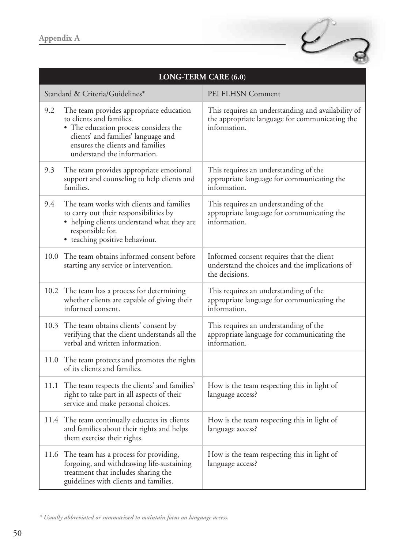

|     | LONG-TERM CARE (6.0)                                                                                                                                                                                                   |                                                                                                                      |  |
|-----|------------------------------------------------------------------------------------------------------------------------------------------------------------------------------------------------------------------------|----------------------------------------------------------------------------------------------------------------------|--|
|     | Standard & Criteria/Guidelines*                                                                                                                                                                                        | PEI FLHSN Comment                                                                                                    |  |
| 9.2 | The team provides appropriate education<br>to clients and families.<br>• The education process considers the<br>clients' and families' language and<br>ensures the clients and families<br>understand the information. | This requires an understanding and availability of<br>the appropriate language for communicating the<br>information. |  |
| 9.3 | The team provides appropriate emotional<br>support and counseling to help clients and<br>families.                                                                                                                     | This requires an understanding of the<br>appropriate language for communicating the<br>information.                  |  |
| 9.4 | The team works with clients and families<br>to carry out their responsibilities by<br>• helping clients understand what they are<br>responsible for.<br>· teaching positive behaviour.                                 | This requires an understanding of the<br>appropriate language for communicating the<br>information.                  |  |
|     | 10.0 The team obtains informed consent before<br>starting any service or intervention.                                                                                                                                 | Informed consent requires that the client<br>understand the choices and the implications of<br>the decisions.        |  |
|     | 10.2 The team has a process for determining<br>whether clients are capable of giving their<br>informed consent.                                                                                                        | This requires an understanding of the<br>appropriate language for communicating the<br>information.                  |  |
|     | 10.3 The team obtains clients' consent by<br>verifying that the client understands all the<br>verbal and written information.                                                                                          | This requires an understanding of the<br>appropriate language for communicating the<br>information.                  |  |
|     | 11.0 The team protects and promotes the rights<br>of its clients and families.                                                                                                                                         |                                                                                                                      |  |
|     | 11.1 The team respects the clients' and families'<br>right to take part in all aspects of their<br>service and make personal choices.                                                                                  | How is the team respecting this in light of<br>language access?                                                      |  |
|     | 11.4 The team continually educates its clients<br>and families about their rights and helps<br>them exercise their rights.                                                                                             | How is the team respecting this in light of<br>language access?                                                      |  |
|     | 11.6 The team has a process for providing,<br>forgoing, and withdrawing life-sustaining<br>treatment that includes sharing the<br>guidelines with clients and families.                                                | How is the team respecting this in light of<br>language access?                                                      |  |

*<sup>\*</sup> Usually abbreviated or summarized to maintain focus on language access.*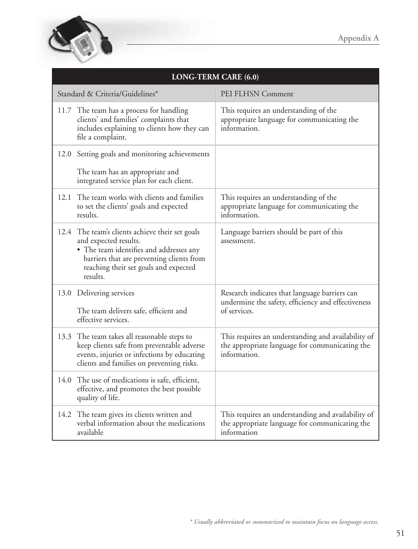

| LONG-TERM CARE (6.0) |                                                                                                                                                                                                                       |                                                                                                                      |
|----------------------|-----------------------------------------------------------------------------------------------------------------------------------------------------------------------------------------------------------------------|----------------------------------------------------------------------------------------------------------------------|
|                      | Standard & Criteria/Guidelines*                                                                                                                                                                                       | PEI FLHSN Comment                                                                                                    |
|                      | 11.7 The team has a process for handling<br>clients' and families' complaints that<br>includes explaining to clients how they can<br>file a complaint.                                                                | This requires an understanding of the<br>appropriate language for communicating the<br>information.                  |
|                      | 12.0 Setting goals and monitoring achievements                                                                                                                                                                        |                                                                                                                      |
|                      | The team has an appropriate and<br>integrated service plan for each client.                                                                                                                                           |                                                                                                                      |
|                      | 12.1 The team works with clients and families<br>to set the clients' goals and expected<br>results.                                                                                                                   | This requires an understanding of the<br>appropriate language for communicating the<br>information.                  |
|                      | 12.4 The team's clients achieve their set goals<br>and expected results.<br>• The team identifies and addresses any<br>barriers that are preventing clients from<br>reaching their set goals and expected<br>results. | Language barriers should be part of this<br>assessment.                                                              |
|                      | 13.0 Delivering services<br>The team delivers safe, efficient and<br>effective services.                                                                                                                              | Research indicates that language barriers can<br>undermine the safety, efficiency and effectiveness<br>of services.  |
|                      | 13.3 The team takes all reasonable steps to<br>keep clients safe from preventable adverse<br>events, injuries or infections by educating<br>clients and families on preventing risks.                                 | This requires an understanding and availability of<br>the appropriate language for communicating the<br>information. |
|                      | 14.0 The use of medications is safe, efficient,<br>effective, and promotes the best possible<br>quality of life.                                                                                                      |                                                                                                                      |
|                      | 14.2 The team gives its clients written and<br>verbal information about the medications<br>available                                                                                                                  | This requires an understanding and availability of<br>the appropriate language for communicating the<br>information  |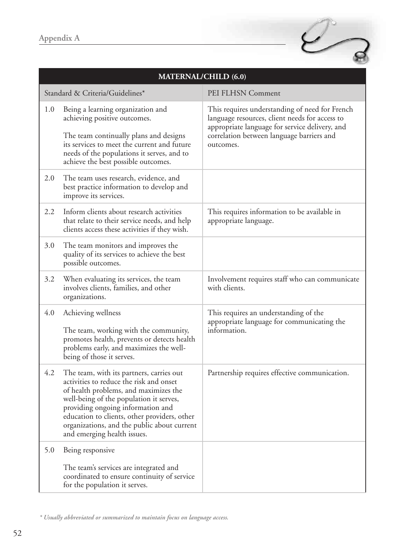

| <b>MATERNAL/CHILD (6.0)</b> |                                                                                                                                                                                                                                                                                                                                            |                                                                                                                                                                                                              |
|-----------------------------|--------------------------------------------------------------------------------------------------------------------------------------------------------------------------------------------------------------------------------------------------------------------------------------------------------------------------------------------|--------------------------------------------------------------------------------------------------------------------------------------------------------------------------------------------------------------|
|                             | Standard & Criteria/Guidelines*                                                                                                                                                                                                                                                                                                            | PEI FLHSN Comment                                                                                                                                                                                            |
| 1.0                         | Being a learning organization and<br>achieving positive outcomes.<br>The team continually plans and designs<br>its services to meet the current and future<br>needs of the populations it serves, and to<br>achieve the best possible outcomes.                                                                                            | This requires understanding of need for French<br>language resources, client needs for access to<br>appropriate language for service delivery, and<br>correlation between language barriers and<br>outcomes. |
| 2.0                         | The team uses research, evidence, and<br>best practice information to develop and<br>improve its services.                                                                                                                                                                                                                                 |                                                                                                                                                                                                              |
| 2.2                         | Inform clients about research activities<br>that relate to their service needs, and help<br>clients access these activities if they wish.                                                                                                                                                                                                  | This requires information to be available in<br>appropriate language.                                                                                                                                        |
| 3.0                         | The team monitors and improves the<br>quality of its services to achieve the best<br>possible outcomes.                                                                                                                                                                                                                                    |                                                                                                                                                                                                              |
| 3.2                         | When evaluating its services, the team<br>involves clients, families, and other<br>organizations.                                                                                                                                                                                                                                          | Involvement requires staff who can communicate<br>with clients.                                                                                                                                              |
| 4.0                         | Achieving wellness<br>The team, working with the community,<br>promotes health, prevents or detects health<br>problems early, and maximizes the well-<br>being of those it serves.                                                                                                                                                         | This requires an understanding of the<br>appropriate language for communicating the<br>information.                                                                                                          |
| 4.2                         | The team, with its partners, carries out<br>activities to reduce the risk and onset<br>of health problems, and maximizes the<br>well-being of the population it serves,<br>providing ongoing information and<br>education to clients, other providers, other<br>organizations, and the public about current<br>and emerging health issues. | Partnership requires effective communication.                                                                                                                                                                |
| 5.0                         | Being responsive<br>The team's services are integrated and<br>coordinated to ensure continuity of service<br>for the population it serves.                                                                                                                                                                                                 |                                                                                                                                                                                                              |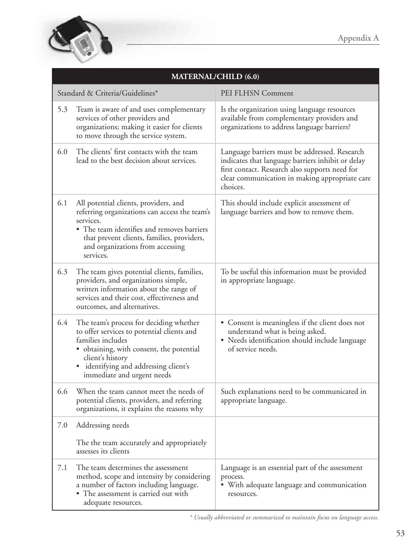

| <b>MATERNAL/CHILD (6.0)</b>     |                                                                                                                                                                                                                                                  |                                                                                                                                                                                                                    |
|---------------------------------|--------------------------------------------------------------------------------------------------------------------------------------------------------------------------------------------------------------------------------------------------|--------------------------------------------------------------------------------------------------------------------------------------------------------------------------------------------------------------------|
| Standard & Criteria/Guidelines* |                                                                                                                                                                                                                                                  | PEI FLHSN Comment                                                                                                                                                                                                  |
| 5.3                             | Team is aware of and uses complementary<br>services of other providers and<br>organizations; making it easier for clients<br>to move through the service system.                                                                                 | Is the organization using language resources<br>available from complementary providers and<br>organizations to address language barriers?                                                                          |
| 6.0                             | The clients' first contacts with the team<br>lead to the best decision about services.                                                                                                                                                           | Language barriers must be addressed. Research<br>indicates that language barriers inhibit or delay<br>first contact. Research also supports need for<br>clear communication in making appropriate care<br>choices. |
| 6.1                             | All potential clients, providers, and<br>referring organizations can access the team's<br>services.<br>• The team identifies and removes barriers<br>that prevent clients, families, providers,<br>and organizations from accessing<br>services. | This should include explicit assessment of<br>language barriers and how to remove them.                                                                                                                            |
| 6.3                             | The team gives potential clients, families,<br>providers, and organizations simple,<br>written information about the range of<br>services and their cost, effectiveness and<br>outcomes, and alternatives.                                       | To be useful this information must be provided<br>in appropriate language.                                                                                                                                         |
| 6.4                             | The team's process for deciding whether<br>to offer services to potential clients and<br>families includes<br>obtaining, with consent, the potential<br>client's history<br>identifying and addressing client's<br>immediate and urgent needs    | • Consent is meaningless if the client does not<br>understand what is being asked.<br>• Needs identification should include language<br>of service needs.                                                          |
| 6.6                             | When the team cannot meet the needs of<br>potential clients, providers, and referring<br>organizations, it explains the reasons why                                                                                                              | Such explanations need to be communicated in<br>appropriate language.                                                                                                                                              |
| 7.0                             | Addressing needs                                                                                                                                                                                                                                 |                                                                                                                                                                                                                    |
|                                 | The the team accurately and appropriately<br>assesses its clients                                                                                                                                                                                |                                                                                                                                                                                                                    |
| 7.1                             | The team determines the assessment<br>method, scope and intensity by considering<br>a number of factors including language.<br>• The assessment is carried out with<br>adequate resources.                                                       | Language is an essential part of the assessment<br>process.<br>· With adequate language and communication<br>resources.                                                                                            |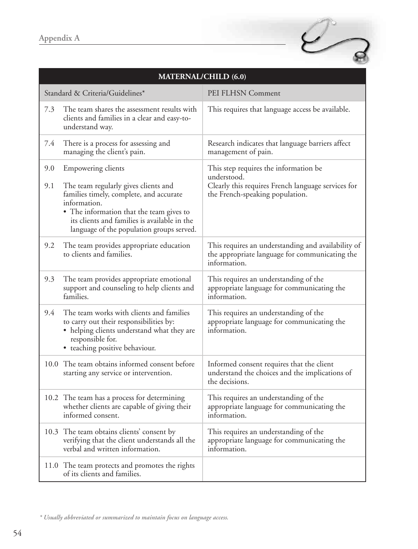

| <b>MATERNAL/CHILD (6.0)</b> |                                                                                                                                                                                                                                                                       |                                                                                                                                               |
|-----------------------------|-----------------------------------------------------------------------------------------------------------------------------------------------------------------------------------------------------------------------------------------------------------------------|-----------------------------------------------------------------------------------------------------------------------------------------------|
|                             | Standard & Criteria/Guidelines*                                                                                                                                                                                                                                       | PEI FLHSN Comment                                                                                                                             |
| 7.3                         | The team shares the assessment results with<br>clients and families in a clear and easy-to-<br>understand way.                                                                                                                                                        | This requires that language access be available.                                                                                              |
| 7.4                         | There is a process for assessing and<br>managing the client's pain.                                                                                                                                                                                                   | Research indicates that language barriers affect<br>management of pain.                                                                       |
| 9.0<br>9.1                  | <b>Empowering clients</b><br>The team regularly gives clients and<br>families timely, complete, and accurate<br>information.<br>• The information that the team gives to<br>its clients and families is available in the<br>language of the population groups served. | This step requires the information be<br>understood.<br>Clearly this requires French language services for<br>the French-speaking population. |
| 9.2                         | The team provides appropriate education<br>to clients and families.                                                                                                                                                                                                   | This requires an understanding and availability of<br>the appropriate language for communicating the<br>information.                          |
| 9.3                         | The team provides appropriate emotional<br>support and counseling to help clients and<br>families.                                                                                                                                                                    | This requires an understanding of the<br>appropriate language for communicating the<br>information.                                           |
| 9.4                         | The team works with clients and families<br>to carry out their responsibilities by:<br>helping clients understand what they are<br>responsible for.<br>• teaching positive behaviour.                                                                                 | This requires an understanding of the<br>appropriate language for communicating the<br>information.                                           |
| 10.0                        | The team obtains informed consent before<br>starting any service or intervention.                                                                                                                                                                                     | Informed consent requires that the client<br>understand the choices and the implications of<br>the decisions.                                 |
|                             | 10.2 The team has a process for determining<br>whether clients are capable of giving their<br>informed consent.                                                                                                                                                       | This requires an understanding of the<br>appropriate language for communicating the<br>information.                                           |
|                             | 10.3 The team obtains clients' consent by<br>verifying that the client understands all the<br>verbal and written information.                                                                                                                                         | This requires an understanding of the<br>appropriate language for communicating the<br>information.                                           |
|                             | 11.0 The team protects and promotes the rights<br>of its clients and families.                                                                                                                                                                                        |                                                                                                                                               |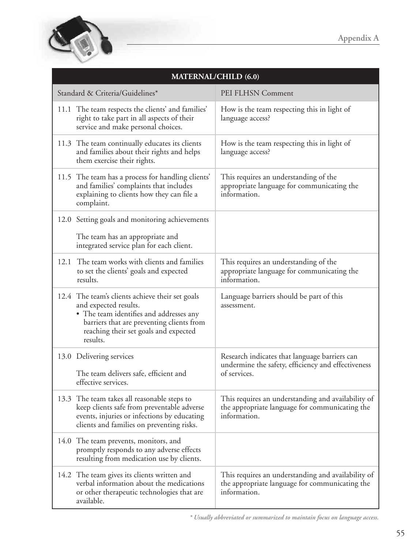

| <b>MATERNAL/CHILD (6.0)</b>                                                                                                                                                                                           |                                                                                                                      |  |
|-----------------------------------------------------------------------------------------------------------------------------------------------------------------------------------------------------------------------|----------------------------------------------------------------------------------------------------------------------|--|
| Standard & Criteria/Guidelines*                                                                                                                                                                                       | PEI FLHSN Comment                                                                                                    |  |
| 11.1 The team respects the clients' and families'<br>right to take part in all aspects of their<br>service and make personal choices.                                                                                 | How is the team respecting this in light of<br>language access?                                                      |  |
| 11.3 The team continually educates its clients<br>and families about their rights and helps<br>them exercise their rights.                                                                                            | How is the team respecting this in light of<br>language access?                                                      |  |
| 11.5 The team has a process for handling clients'<br>and families' complaints that includes<br>explaining to clients how they can file a<br>complaint.                                                                | This requires an understanding of the<br>appropriate language for communicating the<br>information.                  |  |
| 12.0 Setting goals and monitoring achievements<br>The team has an appropriate and<br>integrated service plan for each client.                                                                                         |                                                                                                                      |  |
| 12.1 The team works with clients and families<br>to set the clients' goals and expected<br>results.                                                                                                                   | This requires an understanding of the<br>appropriate language for communicating the<br>information.                  |  |
| 12.4 The team's clients achieve their set goals<br>and expected results.<br>• The team identifies and addresses any<br>barriers that are preventing clients from<br>reaching their set goals and expected<br>results. | Language barriers should be part of this<br>assessment.                                                              |  |
| 13.0 Delivering services<br>The team delivers safe, efficient and<br>effective services.                                                                                                                              | Research indicates that language barriers can<br>undermine the safety, efficiency and effectiveness<br>of services.  |  |
| 13.3 The team takes all reasonable steps to<br>keep clients safe from preventable adverse<br>events, injuries or infections by educating<br>clients and families on preventing risks.                                 | This requires an understanding and availability of<br>the appropriate language for communicating the<br>information. |  |
| 14.0 The team prevents, monitors, and<br>promptly responds to any adverse effects<br>resulting from medication use by clients.                                                                                        |                                                                                                                      |  |
| 14.2 The team gives its clients written and<br>verbal information about the medications<br>or other therapeutic technologies that are<br>available.                                                                   | This requires an understanding and availability of<br>the appropriate language for communicating the<br>information. |  |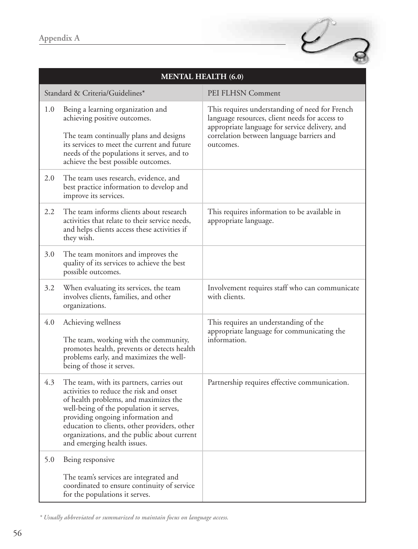

| <b>MENTAL HEALTH (6.0)</b> |                                                                                                                                                                                                                                                                                                                                            |                                                                                                                                                                                                              |
|----------------------------|--------------------------------------------------------------------------------------------------------------------------------------------------------------------------------------------------------------------------------------------------------------------------------------------------------------------------------------------|--------------------------------------------------------------------------------------------------------------------------------------------------------------------------------------------------------------|
|                            | Standard & Criteria/Guidelines*                                                                                                                                                                                                                                                                                                            | PEI FLHSN Comment                                                                                                                                                                                            |
| 1.0                        | Being a learning organization and<br>achieving positive outcomes.<br>The team continually plans and designs<br>its services to meet the current and future<br>needs of the populations it serves, and to<br>achieve the best possible outcomes.                                                                                            | This requires understanding of need for French<br>language resources, client needs for access to<br>appropriate language for service delivery, and<br>correlation between language barriers and<br>outcomes. |
| 2.0                        | The team uses research, evidence, and<br>best practice information to develop and<br>improve its services.                                                                                                                                                                                                                                 |                                                                                                                                                                                                              |
| 2.2                        | The team informs clients about research<br>activities that relate to their service needs,<br>and helps clients access these activities if<br>they wish.                                                                                                                                                                                    | This requires information to be available in<br>appropriate language.                                                                                                                                        |
| 3.0                        | The team monitors and improves the<br>quality of its services to achieve the best<br>possible outcomes.                                                                                                                                                                                                                                    |                                                                                                                                                                                                              |
| 3.2                        | When evaluating its services, the team<br>involves clients, families, and other<br>organizations.                                                                                                                                                                                                                                          | Involvement requires staff who can communicate<br>with clients.                                                                                                                                              |
| 4.0                        | Achieving wellness<br>The team, working with the community,<br>promotes health, prevents or detects health<br>problems early, and maximizes the well-<br>being of those it serves.                                                                                                                                                         | This requires an understanding of the<br>appropriate language for communicating the<br>information.                                                                                                          |
| 4.3                        | The team, with its partners, carries out<br>activities to reduce the risk and onset<br>of health problems, and maximizes the<br>well-being of the population it serves,<br>providing ongoing information and<br>education to clients, other providers, other<br>organizations, and the public about current<br>and emerging health issues. | Partnership requires effective communication.                                                                                                                                                                |
| 5.0                        | Being responsive<br>The team's services are integrated and<br>coordinated to ensure continuity of service<br>for the populations it serves.                                                                                                                                                                                                |                                                                                                                                                                                                              |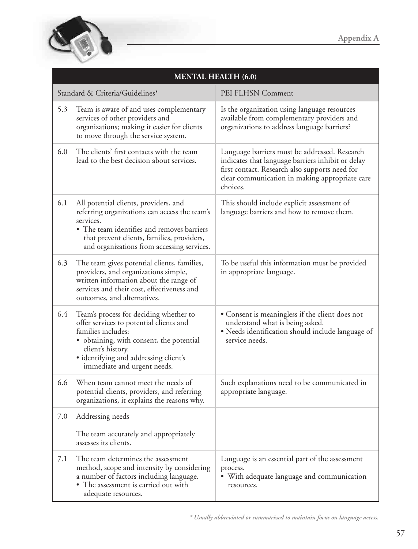

| <b>MENTAL HEALTH (6.0)</b> |                                                                                                                                                                                                                                                |                                                                                                                                                                                                                    |
|----------------------------|------------------------------------------------------------------------------------------------------------------------------------------------------------------------------------------------------------------------------------------------|--------------------------------------------------------------------------------------------------------------------------------------------------------------------------------------------------------------------|
|                            | Standard & Criteria/Guidelines*                                                                                                                                                                                                                | PEI FLHSN Comment                                                                                                                                                                                                  |
| 5.3                        | Team is aware of and uses complementary<br>services of other providers and<br>organizations; making it easier for clients<br>to move through the service system.                                                                               | Is the organization using language resources<br>available from complementary providers and<br>organizations to address language barriers?                                                                          |
| 6.0                        | The clients' first contacts with the team<br>lead to the best decision about services.                                                                                                                                                         | Language barriers must be addressed. Research<br>indicates that language barriers inhibit or delay<br>first contact. Research also supports need for<br>clear communication in making appropriate care<br>choices. |
| 6.1                        | All potential clients, providers, and<br>referring organizations can access the team's<br>services.<br>• The team identifies and removes barriers<br>that prevent clients, families, providers,<br>and organizations from accessing services.  | This should include explicit assessment of<br>language barriers and how to remove them.                                                                                                                            |
| 6.3                        | The team gives potential clients, families,<br>providers, and organizations simple,<br>written information about the range of<br>services and their cost, effectiveness and<br>outcomes, and alternatives.                                     | To be useful this information must be provided<br>in appropriate language.                                                                                                                                         |
| 6.4                        | Team's process for deciding whether to<br>offer services to potential clients and<br>families includes:<br>obtaining, with consent, the potential<br>client's history.<br>· identifying and addressing client's<br>immediate and urgent needs. | • Consent is meaningless if the client does not<br>understand what is being asked.<br>· Needs identification should include language of<br>service needs.                                                          |
| 6.6                        | When team cannot meet the needs of<br>potential clients, providers, and referring<br>organizations, it explains the reasons why.                                                                                                               | Such explanations need to be communicated in<br>appropriate language.                                                                                                                                              |
| 7.0                        | Addressing needs                                                                                                                                                                                                                               |                                                                                                                                                                                                                    |
|                            | The team accurately and appropriately<br>assesses its clients.                                                                                                                                                                                 |                                                                                                                                                                                                                    |
| 7.1                        | The team determines the assessment<br>method, scope and intensity by considering<br>a number of factors including language.<br>• The assessment is carried out with<br>adequate resources.                                                     | Language is an essential part of the assessment<br>process.<br>• With adequate language and communication<br>resources.                                                                                            |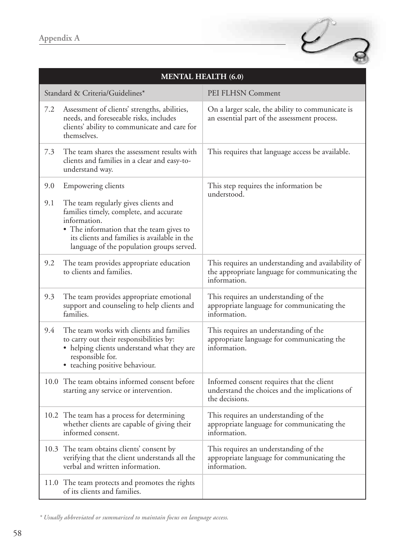

| <b>MENTAL HEALTH (6.0)</b> |                                                                                                                                                                                                                                                                       |                                                                                                                      |
|----------------------------|-----------------------------------------------------------------------------------------------------------------------------------------------------------------------------------------------------------------------------------------------------------------------|----------------------------------------------------------------------------------------------------------------------|
|                            | Standard & Criteria/Guidelines*                                                                                                                                                                                                                                       | PEI FLHSN Comment                                                                                                    |
| 7.2                        | Assessment of clients' strengths, abilities,<br>needs, and foreseeable risks, includes<br>clients' ability to communicate and care for<br>themselves.                                                                                                                 | On a larger scale, the ability to communicate is<br>an essential part of the assessment process.                     |
| 7.3                        | The team shares the assessment results with<br>clients and families in a clear and easy-to-<br>understand way.                                                                                                                                                        | This requires that language access be available.                                                                     |
| 9.0<br>9.1                 | <b>Empowering clients</b><br>The team regularly gives clients and<br>families timely, complete, and accurate<br>information.<br>• The information that the team gives to<br>its clients and families is available in the<br>language of the population groups served. | This step requires the information be<br>understood.                                                                 |
| 9.2                        | The team provides appropriate education<br>to clients and families.                                                                                                                                                                                                   | This requires an understanding and availability of<br>the appropriate language for communicating the<br>information. |
| 9.3                        | The team provides appropriate emotional<br>support and counseling to help clients and<br>families.                                                                                                                                                                    | This requires an understanding of the<br>appropriate language for communicating the<br>information.                  |
| 9.4                        | The team works with clients and families<br>to carry out their responsibilities by:<br>• helping clients understand what they are<br>responsible for.<br>• teaching positive behaviour.                                                                               | This requires an understanding of the<br>appropriate language for communicating the<br>information.                  |
|                            | 10.0 The team obtains informed consent before<br>starting any service or intervention.                                                                                                                                                                                | Informed consent requires that the client<br>understand the choices and the implications of<br>the decisions.        |
|                            | 10.2 The team has a process for determining<br>whether clients are capable of giving their<br>informed consent.                                                                                                                                                       | This requires an understanding of the<br>appropriate language for communicating the<br>information.                  |
|                            | 10.3 The team obtains clients' consent by<br>verifying that the client understands all the<br>verbal and written information.                                                                                                                                         | This requires an understanding of the<br>appropriate language for communicating the<br>information.                  |
|                            | 11.0 The team protects and promotes the rights<br>of its clients and families.                                                                                                                                                                                        |                                                                                                                      |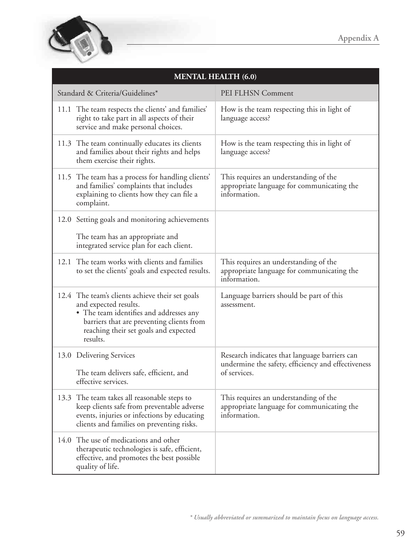

| <b>MENTAL HEALTH (6.0)</b>                                                                                                                                                                                            |                                                                                                                     |  |
|-----------------------------------------------------------------------------------------------------------------------------------------------------------------------------------------------------------------------|---------------------------------------------------------------------------------------------------------------------|--|
| Standard & Criteria/Guidelines*                                                                                                                                                                                       | PEI FLHSN Comment                                                                                                   |  |
| 11.1 The team respects the clients' and families'<br>right to take part in all aspects of their<br>service and make personal choices.                                                                                 | How is the team respecting this in light of<br>language access?                                                     |  |
| 11.3 The team continually educates its clients<br>and families about their rights and helps<br>them exercise their rights.                                                                                            | How is the team respecting this in light of<br>language access?                                                     |  |
| 11.5 The team has a process for handling clients'<br>and families' complaints that includes<br>explaining to clients how they can file a<br>complaint.                                                                | This requires an understanding of the<br>appropriate language for communicating the<br>information.                 |  |
| 12.0 Setting goals and monitoring achievements                                                                                                                                                                        |                                                                                                                     |  |
| The team has an appropriate and<br>integrated service plan for each client.                                                                                                                                           |                                                                                                                     |  |
| 12.1 The team works with clients and families<br>to set the clients' goals and expected results.                                                                                                                      | This requires an understanding of the<br>appropriate language for communicating the<br>information.                 |  |
| 12.4 The team's clients achieve their set goals<br>and expected results.<br>• The team identifies and addresses any<br>barriers that are preventing clients from<br>reaching their set goals and expected<br>results. | Language barriers should be part of this<br>assessment.                                                             |  |
| 13.0 Delivering Services<br>The team delivers safe, efficient, and<br>effective services.                                                                                                                             | Research indicates that language barriers can<br>undermine the safety, efficiency and effectiveness<br>of services. |  |
| 13.3 The team takes all reasonable steps to<br>keep clients safe from preventable adverse<br>events, injuries or infections by educating<br>clients and families on preventing risks.                                 | This requires an understanding of the<br>appropriate language for communicating the<br>information.                 |  |
| 14.0 The use of medications and other<br>therapeutic technologies is safe, efficient,<br>effective, and promotes the best possible<br>quality of life.                                                                |                                                                                                                     |  |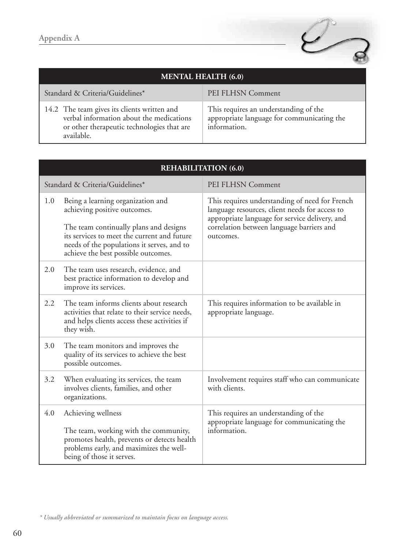

| <b>MENTAL HEALTH (6.0)</b>                                                                                                                          |                                                                                                     |  |
|-----------------------------------------------------------------------------------------------------------------------------------------------------|-----------------------------------------------------------------------------------------------------|--|
| Standard & Criteria/Guidelines*                                                                                                                     | PEI FLHSN Comment                                                                                   |  |
| 14.2 The team gives its clients written and<br>verbal information about the medications<br>or other therapeutic technologies that are<br>available. | This requires an understanding of the<br>appropriate language for communicating the<br>information. |  |

|     | <b>REHABILITATION (6.0)</b>                                                                                                                                                                                                                     |                                                                                                                                                                                                              |  |
|-----|-------------------------------------------------------------------------------------------------------------------------------------------------------------------------------------------------------------------------------------------------|--------------------------------------------------------------------------------------------------------------------------------------------------------------------------------------------------------------|--|
|     | Standard & Criteria/Guidelines*                                                                                                                                                                                                                 | PEI FLHSN Comment                                                                                                                                                                                            |  |
| 1.0 | Being a learning organization and<br>achieving positive outcomes.<br>The team continually plans and designs<br>its services to meet the current and future<br>needs of the populations it serves, and to<br>achieve the best possible outcomes. | This requires understanding of need for French<br>language resources, client needs for access to<br>appropriate language for service delivery, and<br>correlation between language barriers and<br>outcomes. |  |
| 2.0 | The team uses research, evidence, and<br>best practice information to develop and<br>improve its services.                                                                                                                                      |                                                                                                                                                                                                              |  |
| 2.2 | The team informs clients about research<br>activities that relate to their service needs,<br>and helps clients access these activities if<br>they wish.                                                                                         | This requires information to be available in<br>appropriate language.                                                                                                                                        |  |
| 3.0 | The team monitors and improves the<br>quality of its services to achieve the best<br>possible outcomes.                                                                                                                                         |                                                                                                                                                                                                              |  |
| 3.2 | When evaluating its services, the team<br>involves clients, families, and other<br>organizations.                                                                                                                                               | Involvement requires staff who can communicate<br>with clients.                                                                                                                                              |  |
| 4.0 | Achieving wellness<br>The team, working with the community,<br>promotes health, prevents or detects health<br>problems early, and maximizes the well-<br>being of those it serves.                                                              | This requires an understanding of the<br>appropriate language for communicating the<br>information.                                                                                                          |  |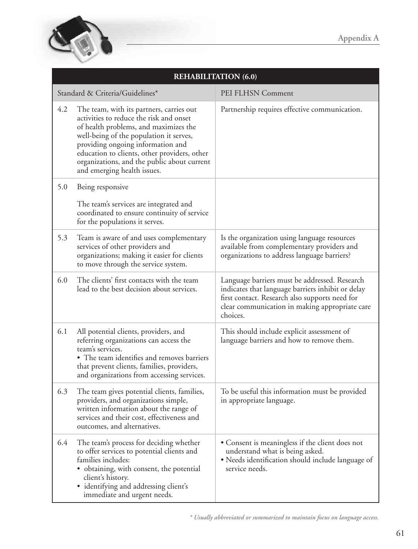

|     | <b>REHABILITATION (6.0)</b>                                                                                                                                                                                                                                                                                                                |                                                                                                                                                                                                                    |  |
|-----|--------------------------------------------------------------------------------------------------------------------------------------------------------------------------------------------------------------------------------------------------------------------------------------------------------------------------------------------|--------------------------------------------------------------------------------------------------------------------------------------------------------------------------------------------------------------------|--|
|     | Standard & Criteria/Guidelines*                                                                                                                                                                                                                                                                                                            | PEI FLHSN Comment                                                                                                                                                                                                  |  |
| 4.2 | The team, with its partners, carries out<br>activities to reduce the risk and onset<br>of health problems, and maximizes the<br>well-being of the population it serves,<br>providing ongoing information and<br>education to clients, other providers, other<br>organizations, and the public about current<br>and emerging health issues. | Partnership requires effective communication.                                                                                                                                                                      |  |
| 5.0 | Being responsive                                                                                                                                                                                                                                                                                                                           |                                                                                                                                                                                                                    |  |
|     | The team's services are integrated and<br>coordinated to ensure continuity of service<br>for the populations it serves.                                                                                                                                                                                                                    |                                                                                                                                                                                                                    |  |
| 5.3 | Team is aware of and uses complementary<br>services of other providers and<br>organizations; making it easier for clients<br>to move through the service system.                                                                                                                                                                           | Is the organization using language resources<br>available from complementary providers and<br>organizations to address language barriers?                                                                          |  |
| 6.0 | The clients' first contacts with the team<br>lead to the best decision about services.                                                                                                                                                                                                                                                     | Language barriers must be addressed. Research<br>indicates that language barriers inhibit or delay<br>first contact. Research also supports need for<br>clear communication in making appropriate care<br>choices. |  |
| 6.1 | All potential clients, providers, and<br>referring organizations can access the<br>team's services.<br>• The team identifies and removes barriers<br>that prevent clients, families, providers,<br>and organizations from accessing services.                                                                                              | This should include explicit assessment of<br>language barriers and how to remove them.                                                                                                                            |  |
| 6.3 | The team gives potential clients, families,<br>providers, and organizations simple,<br>written information about the range of<br>services and their cost, effectiveness and<br>outcomes, and alternatives.                                                                                                                                 | To be useful this information must be provided<br>in appropriate language.                                                                                                                                         |  |
| 6.4 | The team's process for deciding whether<br>to offer services to potential clients and<br>families includes:<br>• obtaining, with consent, the potential<br>client's history.<br>• identifying and addressing client's<br>immediate and urgent needs.                                                                                       | • Consent is meaningless if the client does not<br>understand what is being asked.<br>• Needs identification should include language of<br>service needs.                                                          |  |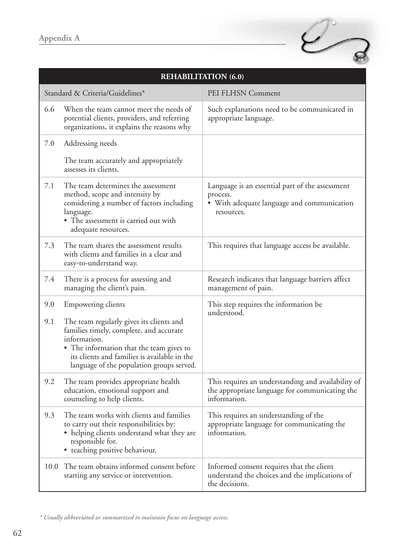

|      | <b>REHABILITATION (6.0)</b>                                                                                                                                                                                                                  |                                                                                                                         |  |
|------|----------------------------------------------------------------------------------------------------------------------------------------------------------------------------------------------------------------------------------------------|-------------------------------------------------------------------------------------------------------------------------|--|
|      | Standard & Criteria/Guidelines*                                                                                                                                                                                                              | PEI FLHSN Comment                                                                                                       |  |
| 6.6  | When the team cannot meet the needs of<br>potential clients, providers, and referring<br>organizations, it explains the reasons why                                                                                                          | Such explanations need to be communicated in<br>appropriate language.                                                   |  |
| 7.0  | Addressing needs                                                                                                                                                                                                                             |                                                                                                                         |  |
|      | The team accurately and appropriately<br>assesses its clients.                                                                                                                                                                               |                                                                                                                         |  |
| 7.1  | The team determines the assessment<br>method, scope and intensity by<br>considering a number of factors including<br>language.<br>• The assessment is carried out with<br>adequate resources.                                                | Language is an essential part of the assessment<br>process.<br>• With adequate language and communication<br>resources. |  |
| 7.3  | The team shares the assessment results<br>with clients and families in a clear and<br>easy-to-understand way.                                                                                                                                | This requires that language access be available.                                                                        |  |
| 7.4  | There is a process for assessing and<br>managing the client's pain.                                                                                                                                                                          | Research indicates that language barriers affect<br>management of pain.                                                 |  |
| 9.0  | Empowering clients                                                                                                                                                                                                                           | This step requires the information be<br>understood.                                                                    |  |
| 9.1  | The team regularly gives its clients and<br>families timely, complete, and accurate<br>information.<br>• The information that the team gives to<br>its clients and families is available in the<br>language of the population groups served. |                                                                                                                         |  |
| 9.2  | The team provides appropriate health<br>education, emotional support and<br>counseling to help clients.                                                                                                                                      | This requires an understanding and availability of<br>the appropriate language for communicating the<br>information.    |  |
| 9.3  | The team works with clients and families<br>to carry out their responsibilities by:<br>• helping clients understand what they are<br>responsible for.<br>• teaching positive behaviour.                                                      | This requires an understanding of the<br>appropriate language for communicating the<br>information.                     |  |
| 10.0 | The team obtains informed consent before<br>starting any service or intervention.                                                                                                                                                            | Informed consent requires that the client<br>understand the choices and the implications of<br>the decisions.           |  |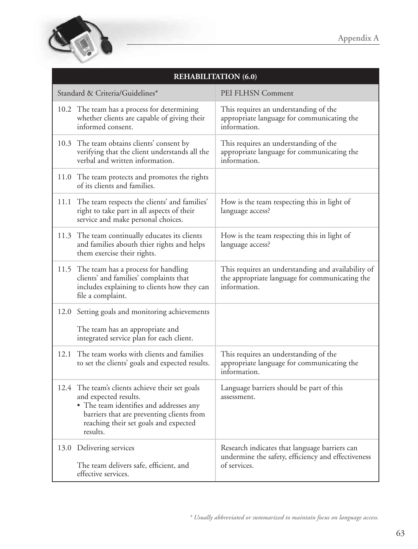

| <b>REHABILITATION (6.0)</b>                                                                                                                                                                                           |                                                                                                                      |  |
|-----------------------------------------------------------------------------------------------------------------------------------------------------------------------------------------------------------------------|----------------------------------------------------------------------------------------------------------------------|--|
| Standard & Criteria/Guidelines*                                                                                                                                                                                       | PEI FLHSN Comment                                                                                                    |  |
| 10.2 The team has a process for determining<br>whether clients are capable of giving their<br>informed consent.                                                                                                       | This requires an understanding of the<br>appropriate language for communicating the<br>information.                  |  |
| 10.3 The team obtains clients' consent by<br>verifying that the client understands all the<br>verbal and written information.                                                                                         | This requires an understanding of the<br>appropriate language for communicating the<br>information.                  |  |
| 11.0 The team protects and promotes the rights<br>of its clients and families.                                                                                                                                        |                                                                                                                      |  |
| 11.1 The team respects the clients' and families'<br>right to take part in all aspects of their<br>service and make personal choices.                                                                                 | How is the team respecting this in light of<br>language access?                                                      |  |
| 11.3 The team continually educates its clients<br>and families abouth thier rights and helps<br>them exercise their rights.                                                                                           | How is the team respecting this in light of<br>language access?                                                      |  |
| 11.5 The team has a process for handling<br>clients' and families' complaints that<br>includes explaining to clients how they can<br>file a complaint.                                                                | This requires an understanding and availability of<br>the appropriate language for communicating the<br>information. |  |
| 12.0 Setting goals and monitoring achievements<br>The team has an appropriate and<br>integrated service plan for each client.                                                                                         |                                                                                                                      |  |
| 12.1 The team works with clients and families<br>to set the clients' goals and expected results.                                                                                                                      | This requires an understanding of the<br>appropriate language for communicating the<br>information.                  |  |
| 12.4 The team's clients achieve their set goals<br>and expected results.<br>• The team identifies and addresses any<br>barriers that are preventing clients from<br>reaching their set goals and expected<br>results. | Language barriers should be part of this<br>assessment.                                                              |  |
| 13.0 Delivering services<br>The team delivers safe, efficient, and<br>effective services.                                                                                                                             | Research indicates that language barriers can<br>undermine the safety, efficiency and effectiveness<br>of services.  |  |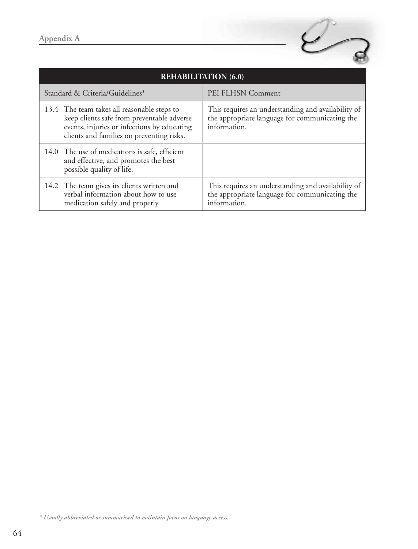

| <b>REHABILITATION (6.0)</b>     |                                                                                                                                                                                       |                                                                                                                      |
|---------------------------------|---------------------------------------------------------------------------------------------------------------------------------------------------------------------------------------|----------------------------------------------------------------------------------------------------------------------|
| Standard & Criteria/Guidelines* |                                                                                                                                                                                       | PEI FLHSN Comment                                                                                                    |
|                                 | 13.4 The team takes all reasonable steps to<br>keep clients safe from preventable adverse<br>events, injuries or infections by educating<br>clients and families on preventing risks. | This requires an understanding and availability of<br>the appropriate language for communicating the<br>information. |
|                                 | 14.0 The use of medications is safe, efficient<br>and effective, and promotes the best<br>possible quality of life.                                                                   |                                                                                                                      |
|                                 | 14.2 The team gives its clients written and<br>verbal information about how to use<br>medication safely and properly.                                                                 | This requires an understanding and availability of<br>the appropriate language for communicating the<br>information. |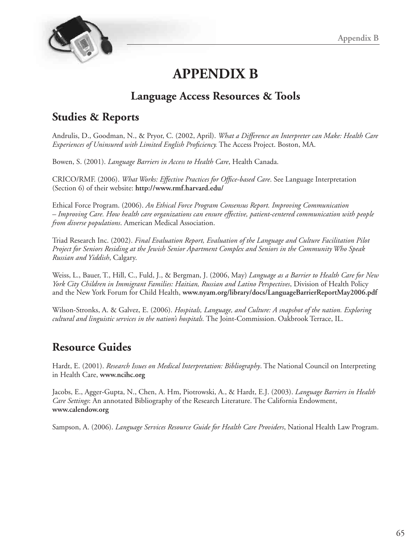

## **APPENDIX B**

## **Language Access Resources & Tools**

## **Studies & Reports**

Andrulis, D., Goodman, N., & Pryor, C. (2002, April). *What a Difference an Interpreter can Make: Health Care Experiences of Uninsured with Limited English Proficiency.* The Access Project. Boston, MA.

Bowen, S. (2001). *Language Barriers in Access to Health Care*, Health Canada.

CRICO/RMF. (2006). *What Works: Effective Practices for Office-based Care*. See Language Interpretation (Section 6) of their website: **http://www.rmf.harvard.edu/**

Ethical Force Program. (2006). *An Ethical Force Program Consensus Report. Improving Communication – Improving Care. How health care organizations can ensure effective, patient-centered communication with people from diverse populations*. American Medical Association.

Triad Research Inc. (2002). *Final Evaluation Report, Evaluation of the Language and Culture Facilitation Pilot Project for Seniors Residing at the Jewish Senior Apartment Complex and Seniors in the Community Who Speak Russian and Yiddish*, Calgary.

Weiss, L., Bauer, T., Hill, C., Fuld, J., & Bergman, J. (2006, May) *Language as a Barrier to Health Care for New York City Children in Immigrant Families: Haitian, Russian and Latino Perspectives*, Division of Health Policy and the New York Forum for Child Health, **www.nyam.org/library/docs/LanguageBarrierReportMay2006.pdf**

Wilson-Stronks, A. & Galvez, E. (2006). *Hospitals, Language, and Culture: A snapshot of the nation. Exploring cultural and linguistic services in the nation's hospitals.* The Joint-Commission. Oakbrook Terrace, IL.

## **Resource Guides**

Hardt, E. (2001). *Research Issues on Medical Interpretation: Bibliography*. The National Council on Interpreting in Health Care, **www.ncihc.org**

Jacobs, E., Agger-Gupta, N., Chen, A. Hm, Piotrowski, A., & Hardt, E.J. (2003). *Language Barriers in Health Care Settings*: An annotated Bibliography of the Research Literature. The California Endowment, **www.calendow.org**

Sampson, A. (2006). *Language Services Resource Guide for Health Care Providers*, National Health Law Program.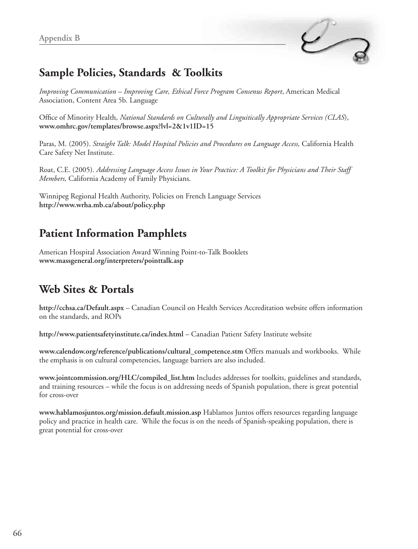

## **Sample Policies, Standards & Toolkits**

*Improving Communication – Improving Care, Ethical Force Program Consenus Report*, American Medical Association, Content Area 5b. Language

Office of Minority Health, *National Standards on Culturally and Linguitically Appropriate Services (CLAS*), **www.omhrc.gov/templates/browse.aspx?lvl=2&1v1ID=15** 

Paras, M. (2005). *Straight Talk: Model Hospital Policies and Procedures on Language Access,* California Health Care Safety Net Institute.

Roat, C.E. (2005). *Addressing Language Access Issues in Your Practice: A Toolkit for Physicians and Their Staff Members,* California Academy of Family Physicians.

Winnipeg Regional Health Authority, Policies on French Language Services **http://www.wrha.mb.ca/about/policy.php** 

## **Patient Information Pamphlets**

American Hospital Association Award Winning Point-to-Talk Booklets **www.massgeneral.org/interpreters/pointtalk.asp** 

## **Web Sites & Portals**

**http://cchsa.ca/Default.aspx** – Canadian Council on Health Services Accreditation website offers information on the standards, and ROPs

**http://www.patientsafetyinstitute.ca/index.html** – Canadian Patient Safety Institute website

**www.calendow.org/reference/publications/cultural\_competence.stm** Offers manuals and workbooks. While the emphasis is on cultural competencies, language barriers are also included.

**www.jointcommission.org/HLC/compiled\_list.htm** Includes addresses for toolkits, guidelines and standards, and training resources – while the focus is on addressing needs of Spanish population, there is great potential for cross-over

**www.hablamosjuntos.org/mission.default.mission.asp** Hablamos Juntos offers resources regarding language policy and practice in health care. While the focus is on the needs of Spanish-speaking population, there is great potential for cross-over